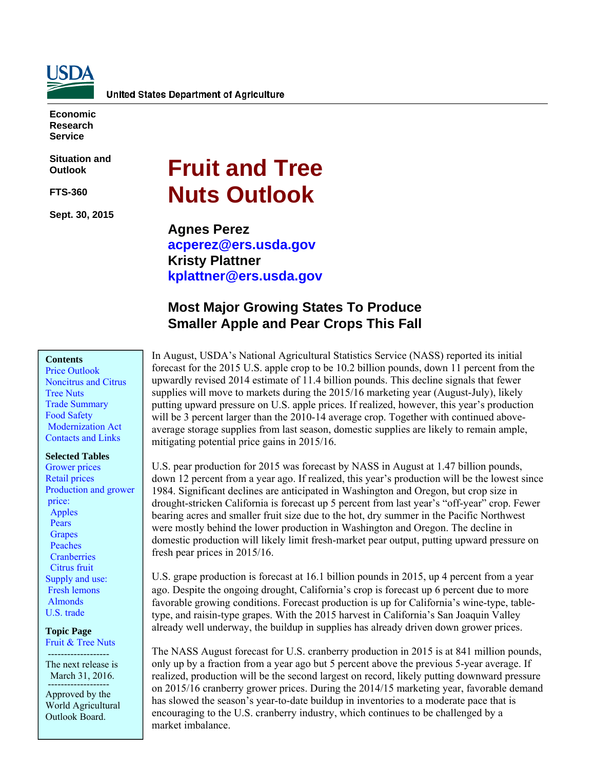

**Economic Research Service** 

**Situation and Outlook** 

**FTS-360** 

**Sept. 30, 2015** 

# **Fruit and Tree Nuts Outlook**

**Agnes Perez [acperez@ers.usda.gov](mailto: acperez@ers.usda.gov) Kristy Plattner [kplattner@ers.usda.gov](mailto: kplattner@ers.usda.gov)** 

# **Most Major Growing States To Produce Smaller Apple and Pear Crops This Fall**

#### **Contents**

[Price Outlook](#page-1-0)  [Noncitrus and Citrus](#page-5-0)  [Tree Nuts](#page-26-0)  [Trade Summary](#page-29-0)  Food Safety  [Modernization Act](#page-30-0)  [Contacts and Links](#page-32-0) 

#### **Selected Tables**

[Grower prices](#page-2-0)  [Retail prices](#page-3-0)  Production and grower price:  [Apples](#page-6-0)  **Pears**  [Grapes](#page-12-0)   [Peaches](#page-17-0)  **Cranberries**  [Citrus fruit](#page-21-0)  Supply and use:  [Fresh lemons](#page-24-0)   [Almonds](#page-27-0)  [U.S. trade](#page-29-0) 

**Topic Page**  [Fruit & Tree Nuts](http://ers.usda.gov/topics/crops/fruit-tree-nuts.aspx#.UzBKnahdVyw) -------------------

The next release is March 31, 2016. -------------------

Approved by the World Agricultural Outlook Board.

In August, USDA's National Agricultural Statistics Service (NASS) reported its initial forecast for the 2015 U.S. apple crop to be 10.2 billion pounds, down 11 percent from the upwardly revised 2014 estimate of 11.4 billion pounds. This decline signals that fewer supplies will move to markets during the 2015/16 marketing year (August-July), likely putting upward pressure on U.S. apple prices. If realized, however, this year's production will be 3 percent larger than the 2010-14 average crop. Together with continued aboveaverage storage supplies from last season, domestic supplies are likely to remain ample, mitigating potential price gains in 2015/16.

U.S. pear production for 2015 was forecast by NASS in August at 1.47 billion pounds, down 12 percent from a year ago. If realized, this year's production will be the lowest since 1984. Significant declines are anticipated in Washington and Oregon, but crop size in drought-stricken California is forecast up 5 percent from last year's "off-year" crop. Fewer bearing acres and smaller fruit size due to the hot, dry summer in the Pacific Northwest were mostly behind the lower production in Washington and Oregon. The decline in domestic production will likely limit fresh-market pear output, putting upward pressure on fresh pear prices in 2015/16.

U.S. grape production is forecast at 16.1 billion pounds in 2015, up 4 percent from a year ago. Despite the ongoing drought, California's crop is forecast up 6 percent due to more favorable growing conditions. Forecast production is up for California's wine-type, tabletype, and raisin-type grapes. With the 2015 harvest in California's San Joaquin Valley already well underway, the buildup in supplies has already driven down grower prices.

The NASS August forecast for U.S. cranberry production in 2015 is at 841 million pounds, only up by a fraction from a year ago but 5 percent above the previous 5-year average. If realized, production will be the second largest on record, likely putting downward pressure on 2015/16 cranberry grower prices. During the 2014/15 marketing year, favorable demand has slowed the season's year-to-date buildup in inventories to a moderate pace that is encouraging to the U.S. cranberry industry, which continues to be challenged by a market imbalance.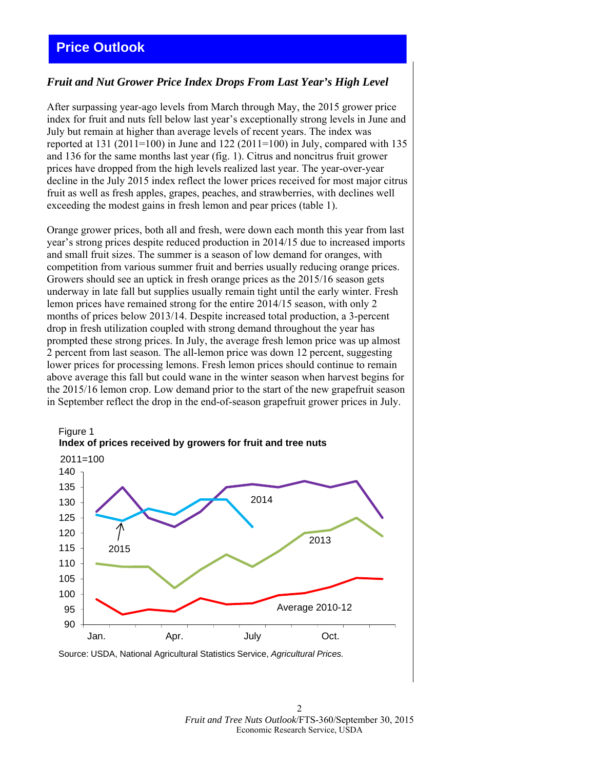# <span id="page-1-0"></span>**Price Outlook**

## *Fruit and Nut Grower Price Index Drops From Last Year's High Level*

After surpassing year-ago levels from March through May, the 2015 grower price index for fruit and nuts fell below last year's exceptionally strong levels in June and July but remain at higher than average levels of recent years. The index was reported at 131 (2011=100) in June and 122 (2011=100) in July, compared with 135 and 136 for the same months last year (fig. 1). Citrus and noncitrus fruit grower prices have dropped from the high levels realized last year. The year-over-year decline in the July 2015 index reflect the lower prices received for most major citrus fruit as well as fresh apples, grapes, peaches, and strawberries, with declines well exceeding the modest gains in fresh lemon and pear prices (table 1).

Orange grower prices, both all and fresh, were down each month this year from last year's strong prices despite reduced production in 2014/15 due to increased imports and small fruit sizes. The summer is a season of low demand for oranges, with competition from various summer fruit and berries usually reducing orange prices. Growers should see an uptick in fresh orange prices as the 2015/16 season gets underway in late fall but supplies usually remain tight until the early winter. Fresh lemon prices have remained strong for the entire 2014/15 season, with only 2 months of prices below 2013/14. Despite increased total production, a 3-percent drop in fresh utilization coupled with strong demand throughout the year has prompted these strong prices. In July, the average fresh lemon price was up almost 2 percent from last season. The all-lemon price was down 12 percent, suggesting lower prices for processing lemons. Fresh lemon prices should continue to remain above average this fall but could wane in the winter season when harvest begins for the 2015/16 lemon crop. Low demand prior to the start of the new grapefruit season in September reflect the drop in the end-of-season grapefruit grower prices in July.



Source: USDA, National Agricultural Statistics Service, *Agricultural Prices.*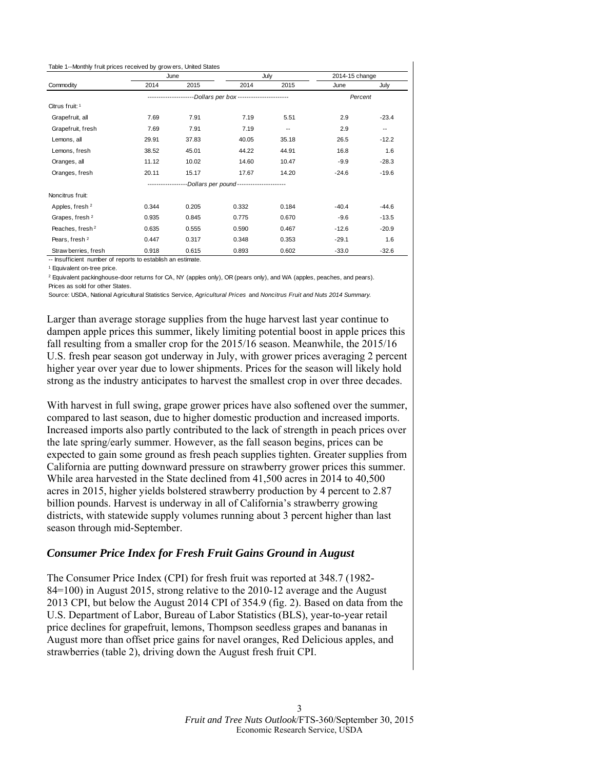<span id="page-2-0"></span>

|                             |       | June  |                                         | July  | 2014-15 change |                          |
|-----------------------------|-------|-------|-----------------------------------------|-------|----------------|--------------------------|
| Commodity                   | 2014  | 2015  | 2014                                    | 2015  | June           | July                     |
|                             |       |       | -Dollars per box ---------------------- |       | Percent        |                          |
| Citrus fruit: 1             |       |       |                                         |       |                |                          |
| Grapefruit, all             | 7.69  | 7.91  | 7.19                                    | 5.51  | 2.9            | $-23.4$                  |
| Grapefruit, fresh           | 7.69  | 7.91  | 7.19                                    | ۰.    | 2.9            | $\overline{\phantom{a}}$ |
| Lemons, all                 | 29.91 | 37.83 | 40.05                                   | 35.18 | 26.5           | $-12.2$                  |
| Lemons, fresh               | 38.52 | 45.01 | 44.22                                   | 44.91 | 16.8           | 1.6                      |
| Oranges, all                | 11.12 | 10.02 | 14.60                                   | 10.47 | $-9.9$         | $-28.3$                  |
| Oranges, fresh              | 20.11 | 15.17 | 17.67                                   | 14.20 | $-24.6$        | $-19.6$                  |
|                             |       |       | -Dollars per pound--------------------- |       |                |                          |
| Noncitrus fruit:            |       |       |                                         |       |                |                          |
| Apples, fresh <sup>2</sup>  | 0.344 | 0.205 | 0.332                                   | 0.184 | $-40.4$        | $-44.6$                  |
| Grapes, fresh <sup>2</sup>  | 0.935 | 0.845 | 0.775                                   | 0.670 | $-9.6$         | $-13.5$                  |
| Peaches, fresh <sup>2</sup> | 0.635 | 0.555 | 0.590                                   | 0.467 | $-12.6$        | $-20.9$                  |
| Pears, fresh <sup>2</sup>   | 0.447 | 0.317 | 0.348                                   | 0.353 | $-29.1$        | 1.6                      |
| Straw berries, fresh        | 0.918 | 0.615 | 0.893                                   | 0.602 | $-33.0$        | $-32.6$                  |

-- Insufficient number of reports to establish an estimate.

1 Equivalent on-tree price.

2 Equivalent packinghouse-door returns for CA, NY (apples only), OR (pears only), and WA (apples, peaches, and pears). Prices as sold for other States.

Source: USDA, National Agricultural Statistics Service, *Agricultural Prices* and *Noncitrus Fruit and Nuts 2014 Summary.*

Larger than average storage supplies from the huge harvest last year continue to dampen apple prices this summer, likely limiting potential boost in apple prices this fall resulting from a smaller crop for the 2015/16 season. Meanwhile, the 2015/16 U.S. fresh pear season got underway in July, with grower prices averaging 2 percent higher year over year due to lower shipments. Prices for the season will likely hold strong as the industry anticipates to harvest the smallest crop in over three decades.

With harvest in full swing, grape grower prices have also softened over the summer, compared to last season, due to higher domestic production and increased imports. Increased imports also partly contributed to the lack of strength in peach prices over the late spring/early summer. However, as the fall season begins, prices can be expected to gain some ground as fresh peach supplies tighten. Greater supplies from California are putting downward pressure on strawberry grower prices this summer. While area harvested in the State declined from 41,500 acres in 2014 to 40,500 acres in 2015, higher yields bolstered strawberry production by 4 percent to 2.87 billion pounds. Harvest is underway in all of California's strawberry growing districts, with statewide supply volumes running about 3 percent higher than last season through mid-September.

## *Consumer Price Index for Fresh Fruit Gains Ground in August*

The Consumer Price Index (CPI) for fresh fruit was reported at 348.7 (1982- 84=100) in August 2015, strong relative to the 2010-12 average and the August 2013 CPI, but below the August 2014 CPI of 354.9 (fig. 2). Based on data from the U.S. Department of Labor, Bureau of Labor Statistics (BLS), year-to-year retail price declines for grapefruit, lemons, Thompson seedless grapes and bananas in August more than offset price gains for navel oranges, Red Delicious apples, and strawberries (table 2), driving down the August fresh fruit CPI.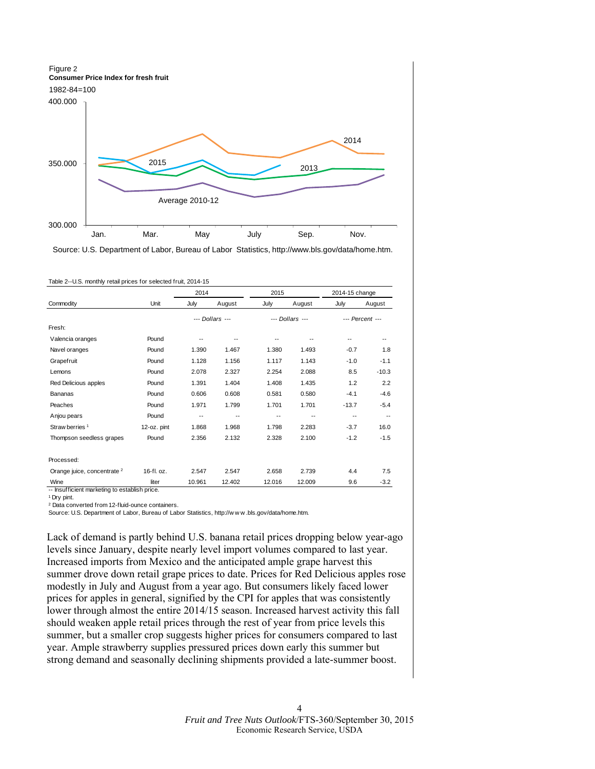<span id="page-3-0"></span>

Source: U.S. Department of Labor, Bureau of Labor Statistics, http://www.bls.gov/data/home.htm.

|                                        |             | 2014                     |                 | 2015   |                          | 2014-15 change |                 |
|----------------------------------------|-------------|--------------------------|-----------------|--------|--------------------------|----------------|-----------------|
| Commodity                              | Unit        | July                     | August          | July   | August                   | July           | August          |
|                                        |             |                          | --- Dollars --- |        | --- Dollars ---          |                | --- Percent --- |
| Fresh:                                 |             |                          |                 |        |                          |                |                 |
| Valencia oranges                       | Pound       | --                       |                 |        |                          | --             |                 |
| Navel oranges                          | Pound       | 1.390                    | 1.467           | 1.380  | 1.493                    | $-0.7$         | 1.8             |
| Grapefruit                             | Pound       | 1.128                    | 1.156           | 1.117  | 1.143                    | $-1.0$         | $-1.1$          |
| Lemons                                 | Pound       | 2.078                    | 2.327           | 2.254  | 2.088                    | 8.5            | $-10.3$         |
| Red Delicious apples                   | Pound       | 1.391                    | 1.404           | 1.408  | 1.435                    | 1.2            | 2.2             |
| Bananas                                | Pound       | 0.606                    | 0.608           | 0.581  | 0.580                    | $-4.1$         | $-4.6$          |
| Peaches                                | Pound       | 1.971                    | 1.799           | 1.701  | 1.701                    | $-13.7$        | $-5.4$          |
| Anjou pears                            | Pound       | $\overline{\phantom{a}}$ | --              | --     | $\overline{\phantom{a}}$ | $-$            | $-$             |
| Straw berries <sup>1</sup>             | 12-oz. pint | 1.868                    | 1.968           | 1.798  | 2.283                    | $-3.7$         | 16.0            |
| Thompson seedless grapes               | Pound       | 2.356                    | 2.132           | 2.328  | 2.100                    | $-1.2$         | $-1.5$          |
| Processed:                             |             |                          |                 |        |                          |                |                 |
| Orange juice, concentrate <sup>2</sup> | 16-fl. oz.  | 2.547                    | 2.547           | 2.658  | 2.739                    | 4.4            | 7.5             |
| Wine                                   | liter       | 10.961                   | 12.402          | 12.016 | 12.009                   | 9.6            | $-3.2$          |

|  | Table 2--U.S. monthly retail prices for selected fruit, 2014-15 |  |  |  |
|--|-----------------------------------------------------------------|--|--|--|
|--|-----------------------------------------------------------------|--|--|--|

-- Insufficient marketing to establish price.

1 Dry pint.

2 Data converted from 12-fluid-ounce containers.

Source: U.S. Department of Labor, Bureau of Labor Statistics, http://w w w .bls.gov/data/home.htm.

Lack of demand is partly behind U.S. banana retail prices dropping below year-ago levels since January, despite nearly level import volumes compared to last year. Increased imports from Mexico and the anticipated ample grape harvest this summer drove down retail grape prices to date. Prices for Red Delicious apples rose modestly in July and August from a year ago. But consumers likely faced lower prices for apples in general, signified by the CPI for apples that was consistently lower through almost the entire 2014/15 season. Increased harvest activity this fall should weaken apple retail prices through the rest of year from price levels this summer, but a smaller crop suggests higher prices for consumers compared to last year. Ample strawberry supplies pressured prices down early this summer but strong demand and seasonally declining shipments provided a late-summer boost.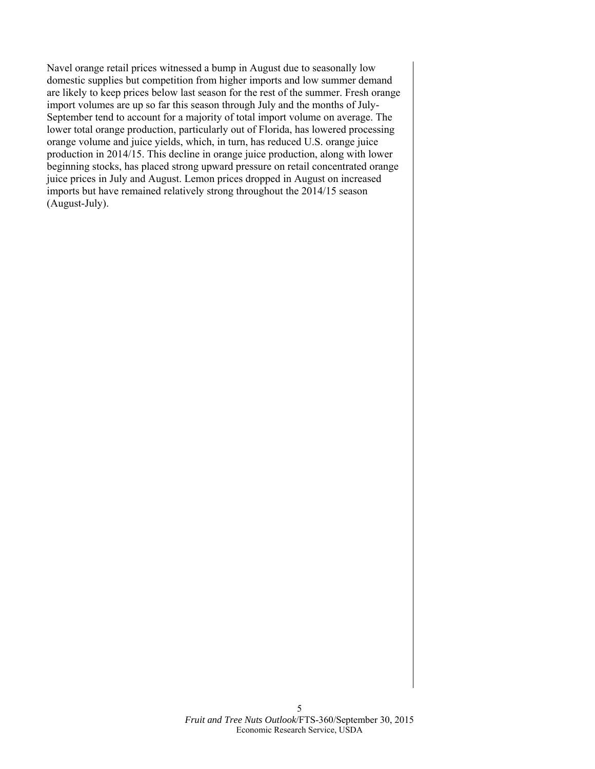Navel orange retail prices witnessed a bump in August due to seasonally low domestic supplies but competition from higher imports and low summer demand are likely to keep prices below last season for the rest of the summer. Fresh orange import volumes are up so far this season through July and the months of July-September tend to account for a majority of total import volume on average. The lower total orange production, particularly out of Florida, has lowered processing orange volume and juice yields, which, in turn, has reduced U.S. orange juice production in 2014/15. This decline in orange juice production, along with lower beginning stocks, has placed strong upward pressure on retail concentrated orange juice prices in July and August. Lemon prices dropped in August on increased imports but have remained relatively strong throughout the 2014/15 season (August-July).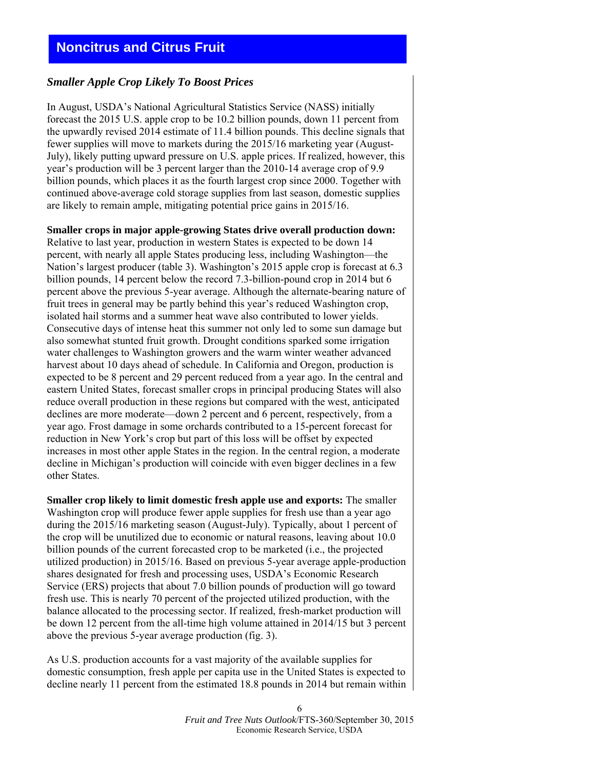## <span id="page-5-0"></span>*Smaller Apple Crop Likely To Boost Prices*

In August, USDA's National Agricultural Statistics Service (NASS) initially forecast the 2015 U.S. apple crop to be 10.2 billion pounds, down 11 percent from the upwardly revised 2014 estimate of 11.4 billion pounds. This decline signals that fewer supplies will move to markets during the 2015/16 marketing year (August-July), likely putting upward pressure on U.S. apple prices. If realized, however, this year's production will be 3 percent larger than the 2010-14 average crop of 9.9 billion pounds, which places it as the fourth largest crop since 2000. Together with continued above-average cold storage supplies from last season, domestic supplies are likely to remain ample, mitigating potential price gains in 2015/16.

**Smaller crops in major apple-growing States drive overall production down:** Relative to last year, production in western States is expected to be down 14 percent, with nearly all apple States producing less, including Washington—the Nation's largest producer (table 3). Washington's 2015 apple crop is forecast at 6.3 billion pounds, 14 percent below the record 7.3-billion-pound crop in 2014 but 6 percent above the previous 5-year average. Although the alternate-bearing nature of fruit trees in general may be partly behind this year's reduced Washington crop, isolated hail storms and a summer heat wave also contributed to lower yields. Consecutive days of intense heat this summer not only led to some sun damage but also somewhat stunted fruit growth. Drought conditions sparked some irrigation water challenges to Washington growers and the warm winter weather advanced harvest about 10 days ahead of schedule. In California and Oregon, production is expected to be 8 percent and 29 percent reduced from a year ago. In the central and eastern United States, forecast smaller crops in principal producing States will also reduce overall production in these regions but compared with the west, anticipated declines are more moderate—down 2 percent and 6 percent, respectively, from a year ago. Frost damage in some orchards contributed to a 15-percent forecast for reduction in New York's crop but part of this loss will be offset by expected increases in most other apple States in the region. In the central region, a moderate decline in Michigan's production will coincide with even bigger declines in a few other States.

**Smaller crop likely to limit domestic fresh apple use and exports:** The smaller Washington crop will produce fewer apple supplies for fresh use than a year ago during the 2015/16 marketing season (August-July). Typically, about 1 percent of the crop will be unutilized due to economic or natural reasons, leaving about 10.0 billion pounds of the current forecasted crop to be marketed (i.e., the projected utilized production) in 2015/16. Based on previous 5-year average apple-production shares designated for fresh and processing uses, USDA's Economic Research Service (ERS) projects that about 7.0 billion pounds of production will go toward fresh use. This is nearly 70 percent of the projected utilized production, with the balance allocated to the processing sector. If realized, fresh-market production will be down 12 percent from the all-time high volume attained in 2014/15 but 3 percent above the previous 5-year average production (fig. 3).

As U.S. production accounts for a vast majority of the available supplies for domestic consumption, fresh apple per capita use in the United States is expected to decline nearly 11 percent from the estimated 18.8 pounds in 2014 but remain within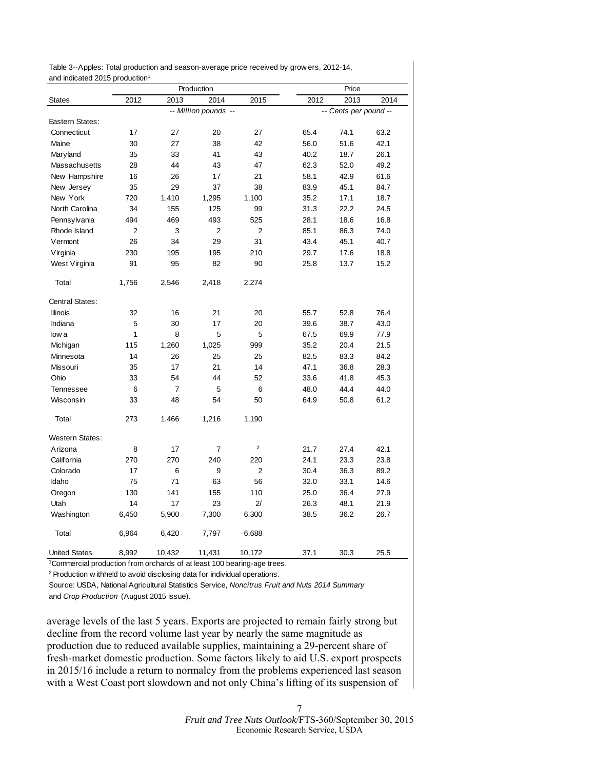<span id="page-6-0"></span>

| Table 3--Apples: Total production and season-average price received by grow ers, 2012-14, |  |
|-------------------------------------------------------------------------------------------|--|
| and indicated 2015 production <sup>1</sup>                                                |  |

|                        |                |                | Production           |                |      | Price                 |      |
|------------------------|----------------|----------------|----------------------|----------------|------|-----------------------|------|
| <b>States</b>          | 2012           | 2013           | 2014                 | 2015           | 2012 | 2013                  | 2014 |
|                        |                |                | -- Million pounds -- |                |      | -- Cents per pound -- |      |
| Eastern States:        |                |                |                      |                |      |                       |      |
| Connecticut            | 17             | 27             | 20                   | 27             | 65.4 | 74.1                  | 63.2 |
| Maine                  | 30             | 27             | 38                   | 42             | 56.0 | 51.6                  | 42.1 |
| Maryland               | 35             | 33             | 41                   | 43             | 40.2 | 18.7                  | 26.1 |
| Massachusetts          | 28             | 44             | 43                   | 47             | 62.3 | 52.0                  | 49.2 |
| New Hampshire          | 16             | 26             | 17                   | 21             | 58.1 | 42.9                  | 61.6 |
| New Jersey             | 35             | 29             | 37                   | 38             | 83.9 | 45.1                  | 84.7 |
| New York               | 720            | 1,410          | 1,295                | 1,100          | 35.2 | 17.1                  | 18.7 |
| North Carolina         | 34             | 155            | 125                  | 99             | 31.3 | 22.2                  | 24.5 |
| Pennsylvania           | 494            | 469            | 493                  | 525            | 28.1 | 18.6                  | 16.8 |
| Rhode Island           | $\overline{2}$ | 3              | 2                    | 2              | 85.1 | 86.3                  | 74.0 |
| Vermont                | 26             | 34             | 29                   | 31             | 43.4 | 45.1                  | 40.7 |
| Virginia               | 230            | 195            | 195                  | 210            | 29.7 | 17.6                  | 18.8 |
| West Virginia          | 91             | 95             | 82                   | 90             | 25.8 | 13.7                  | 15.2 |
| Total                  | 1,756          | 2,546          | 2,418                | 2,274          |      |                       |      |
| Central States:        |                |                |                      |                |      |                       |      |
| <b>Illinois</b>        | 32             | 16             | 21                   | 20             | 55.7 | 52.8                  | 76.4 |
| Indiana                | 5              | 30             | 17                   | 20             | 39.6 | 38.7                  | 43.0 |
| low a                  | 1              | 8              | 5                    | 5              | 67.5 | 69.9                  | 77.9 |
| Michigan               | 115            | 1,260          | 1,025                | 999            | 35.2 | 20.4                  | 21.5 |
| Minnesota              | 14             | 26             | 25                   | 25             | 82.5 | 83.3                  | 84.2 |
| <b>Missouri</b>        | 35             | 17             | 21                   | 14             | 47.1 | 36.8                  | 28.3 |
| Ohio                   | 33             | 54             | 44                   | 52             | 33.6 | 41.8                  | 45.3 |
| <b>Tennessee</b>       | 6              | $\overline{7}$ | 5                    | 6              | 48.0 | 44.4                  | 44.0 |
| Wisconsin              | 33             | 48             | 54                   | 50             | 64.9 | 50.8                  | 61.2 |
| Total                  | 273            | 1.466          | 1,216                | 1.190          |      |                       |      |
| <b>Western States:</b> |                |                |                      |                |      |                       |      |
| Arizona                | 8              | 17             | 7                    | $\mathbf 2$    | 21.7 | 27.4                  | 42.1 |
| California             | 270            | 270            | 240                  | 220            | 24.1 | 23.3                  | 23.8 |
| Colorado               | 17             | 6              | 9                    | $\overline{2}$ | 30.4 | 36.3                  | 89.2 |
| Idaho                  | 75             | 71             | 63                   | 56             | 32.0 | 33.1                  | 14.6 |
| Oregon                 | 130            | 141            | 155                  | 110            | 25.0 | 36.4                  | 27.9 |
| Utah                   | 14             | 17             | 23                   | 2/             | 26.3 | 48.1                  | 21.9 |
| Washington             | 6,450          | 5,900          | 7,300                | 6,300          | 38.5 | 36.2                  | 26.7 |
| Total                  | 6,964          | 6,420          | 7,797                | 6,688          |      |                       |      |
| <b>United States</b>   | 8,992          | 10,432         | 11,431               | 10,172         | 37.1 | 30.3                  | 25.5 |

1Commercial production from orchards of at least 100 bearing-age trees.

2 Production w ithheld to avoid disclosing data for individual operations.

Source: USDA, National Agricultural Statistics Service, *Noncitrus Fruit and Nuts 2014 Summary* and *Crop Production* (August 2015 issue).

average levels of the last 5 years. Exports are projected to remain fairly strong but decline from the record volume last year by nearly the same magnitude as production due to reduced available supplies, maintaining a 29-percent share of fresh-market domestic production. Some factors likely to aid U.S. export prospects in 2015/16 include a return to normalcy from the problems experienced last season with a West Coast port slowdown and not only China's lifting of its suspension of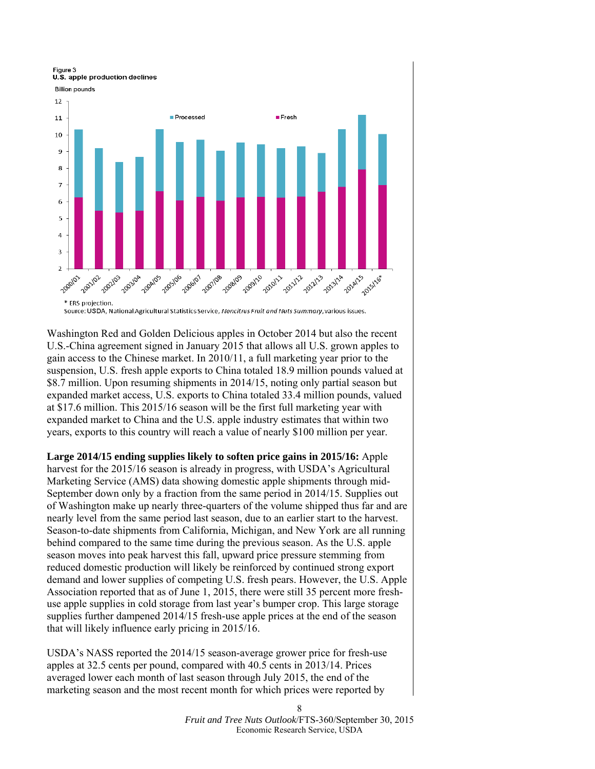Figure 3 U.S. apple production declines





Source: USDA, National Agricultural Statistics Service, Noncitrus Fruit and Nuts Summary, various issues.

Washington Red and Golden Delicious apples in October 2014 but also the recent U.S.-China agreement signed in January 2015 that allows all U.S. grown apples to gain access to the Chinese market. In 2010/11, a full marketing year prior to the suspension, U.S. fresh apple exports to China totaled 18.9 million pounds valued at \$8.7 million. Upon resuming shipments in 2014/15, noting only partial season but expanded market access, U.S. exports to China totaled 33.4 million pounds, valued at \$17.6 million. This 2015/16 season will be the first full marketing year with expanded market to China and the U.S. apple industry estimates that within two years, exports to this country will reach a value of nearly \$100 million per year.

**Large 2014/15 ending supplies likely to soften price gains in 2015/16:** Apple harvest for the 2015/16 season is already in progress, with USDA's Agricultural Marketing Service (AMS) data showing domestic apple shipments through mid-September down only by a fraction from the same period in 2014/15. Supplies out of Washington make up nearly three-quarters of the volume shipped thus far and are nearly level from the same period last season, due to an earlier start to the harvest. Season-to-date shipments from California, Michigan, and New York are all running behind compared to the same time during the previous season. As the U.S. apple season moves into peak harvest this fall, upward price pressure stemming from reduced domestic production will likely be reinforced by continued strong export demand and lower supplies of competing U.S. fresh pears. However, the U.S. Apple Association reported that as of June 1, 2015, there were still 35 percent more freshuse apple supplies in cold storage from last year's bumper crop. This large storage supplies further dampened 2014/15 fresh-use apple prices at the end of the season that will likely influence early pricing in 2015/16.

USDA's NASS reported the 2014/15 season-average grower price for fresh-use apples at 32.5 cents per pound, compared with 40.5 cents in 2013/14. Prices averaged lower each month of last season through July 2015, the end of the marketing season and the most recent month for which prices were reported by

> *Fruit and Tree Nuts Outlook*/FTS-360/September 30, 2015 Economic Research Service, USDA

8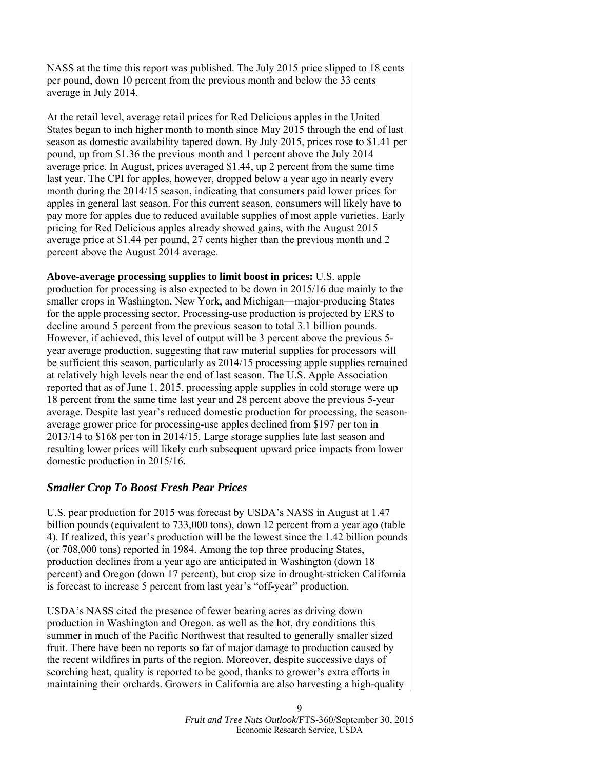NASS at the time this report was published. The July 2015 price slipped to 18 cents per pound, down 10 percent from the previous month and below the 33 cents average in July 2014.

At the retail level, average retail prices for Red Delicious apples in the United States began to inch higher month to month since May 2015 through the end of last season as domestic availability tapered down. By July 2015, prices rose to \$1.41 per pound, up from \$1.36 the previous month and 1 percent above the July 2014 average price. In August, prices averaged \$1.44, up 2 percent from the same time last year. The CPI for apples, however, dropped below a year ago in nearly every month during the 2014/15 season, indicating that consumers paid lower prices for apples in general last season. For this current season, consumers will likely have to pay more for apples due to reduced available supplies of most apple varieties. Early pricing for Red Delicious apples already showed gains, with the August 2015 average price at \$1.44 per pound, 27 cents higher than the previous month and 2 percent above the August 2014 average.

**Above-average processing supplies to limit boost in prices:** U.S. apple production for processing is also expected to be down in 2015/16 due mainly to the smaller crops in Washington, New York, and Michigan—major-producing States for the apple processing sector. Processing-use production is projected by ERS to decline around 5 percent from the previous season to total 3.1 billion pounds. However, if achieved, this level of output will be 3 percent above the previous 5 year average production, suggesting that raw material supplies for processors will be sufficient this season, particularly as 2014/15 processing apple supplies remained at relatively high levels near the end of last season. The U.S. Apple Association reported that as of June 1, 2015, processing apple supplies in cold storage were up 18 percent from the same time last year and 28 percent above the previous 5-year average. Despite last year's reduced domestic production for processing, the seasonaverage grower price for processing-use apples declined from \$197 per ton in 2013/14 to \$168 per ton in 2014/15. Large storage supplies late last season and resulting lower prices will likely curb subsequent upward price impacts from lower domestic production in 2015/16.

## *Smaller Crop To Boost Fresh Pear Prices*

U.S. pear production for 2015 was forecast by USDA's NASS in August at 1.47 billion pounds (equivalent to 733,000 tons), down 12 percent from a year ago (table 4). If realized, this year's production will be the lowest since the 1.42 billion pounds (or 708,000 tons) reported in 1984. Among the top three producing States, production declines from a year ago are anticipated in Washington (down 18 percent) and Oregon (down 17 percent), but crop size in drought-stricken California is forecast to increase 5 percent from last year's "off-year" production.

USDA's NASS cited the presence of fewer bearing acres as driving down production in Washington and Oregon, as well as the hot, dry conditions this summer in much of the Pacific Northwest that resulted to generally smaller sized fruit. There have been no reports so far of major damage to production caused by the recent wildfires in parts of the region. Moreover, despite successive days of scorching heat, quality is reported to be good, thanks to grower's extra efforts in maintaining their orchards. Growers in California are also harvesting a high-quality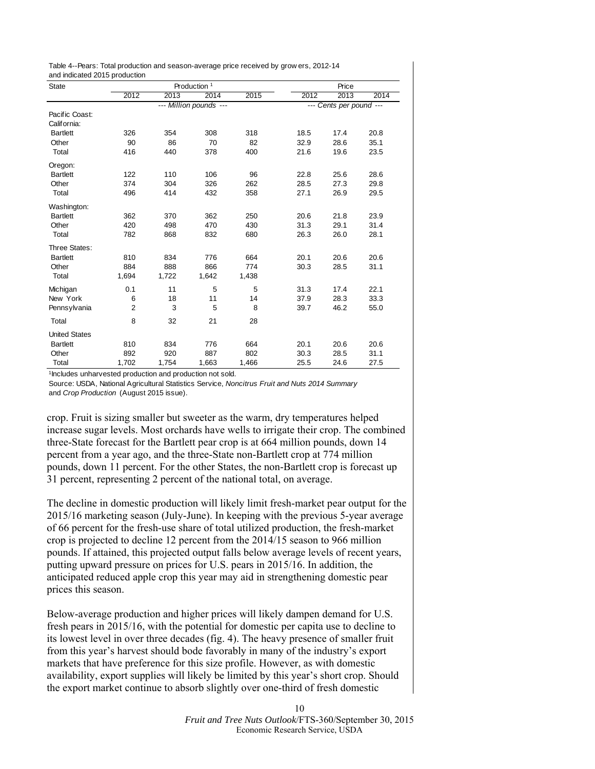<span id="page-9-0"></span>Table 4--Pears: Total production and season-average price received by grow ers, 2012-14 and indicated 2015 production

| <b>State</b>         |                |       | Production <sup>1</sup> |                         | Price |      |      |
|----------------------|----------------|-------|-------------------------|-------------------------|-------|------|------|
|                      | 2012           | 2013  | 2014                    | 2015                    | 2012  | 2013 | 2014 |
|                      |                |       | --- Million pounds ---  | --- Cents per pound --- |       |      |      |
| Pacific Coast:       |                |       |                         |                         |       |      |      |
| California:          |                |       |                         |                         |       |      |      |
| <b>Bartlett</b>      | 326            | 354   | 308                     | 318                     | 18.5  | 17.4 | 20.8 |
| Other                | 90             | 86    | 70                      | 82                      | 32.9  | 28.6 | 35.1 |
| Total                | 416            | 440   | 378                     | 400                     | 21.6  | 19.6 | 23.5 |
| Oregon:              |                |       |                         |                         |       |      |      |
| <b>Bartlett</b>      | 122            | 110   | 106                     | 96                      | 22.8  | 25.6 | 28.6 |
| Other                | 374            | 304   | 326                     | 262                     | 28.5  | 27.3 | 29.8 |
| Total                | 496            | 414   | 432                     | 358                     | 27.1  | 26.9 | 29.5 |
| Washington:          |                |       |                         |                         |       |      |      |
| <b>Bartlett</b>      | 362            | 370   | 362                     | 250                     | 20.6  | 21.8 | 23.9 |
| Other                | 420            | 498   | 470                     | 430                     | 31.3  | 29.1 | 31.4 |
| Total                | 782            | 868   | 832                     | 680                     | 26.3  | 26.0 | 28.1 |
| Three States:        |                |       |                         |                         |       |      |      |
| <b>Bartlett</b>      | 810            | 834   | 776                     | 664                     | 20.1  | 20.6 | 20.6 |
| Other                | 884            | 888   | 866                     | 774                     | 30.3  | 28.5 | 31.1 |
| Total                | 1,694          | 1,722 | 1,642                   | 1,438                   |       |      |      |
| Michigan             | 0.1            | 11    | 5                       | 5                       | 31.3  | 17.4 | 22.1 |
| New York             | 6              | 18    | 11                      | 14                      | 37.9  | 28.3 | 33.3 |
| Pennsylvania         | $\overline{2}$ | 3     | 5                       | 8                       | 39.7  | 46.2 | 55.0 |
| Total                | 8              | 32    | 21                      | 28                      |       |      |      |
| <b>United States</b> |                |       |                         |                         |       |      |      |
| <b>Bartlett</b>      | 810            | 834   | 776                     | 664                     | 20.1  | 20.6 | 20.6 |
| Other                | 892            | 920   | 887                     | 802                     | 30.3  | 28.5 | 31.1 |
| Total                | 1.702          | 1,754 | 1,663                   | 1.466                   | 25.5  | 24.6 | 27.5 |

<sup>1</sup>Includes unharvested production and production not sold.

Source: USDA, National Agricultural Statistics Service, *Noncitrus Fruit and Nuts 2014 Summary* and *Crop Production* (August 2015 issue).

crop. Fruit is sizing smaller but sweeter as the warm, dry temperatures helped increase sugar levels. Most orchards have wells to irrigate their crop. The combined three-State forecast for the Bartlett pear crop is at 664 million pounds, down 14 percent from a year ago, and the three-State non-Bartlett crop at 774 million pounds, down 11 percent. For the other States, the non-Bartlett crop is forecast up 31 percent, representing 2 percent of the national total, on average.

The decline in domestic production will likely limit fresh-market pear output for the 2015/16 marketing season (July-June). In keeping with the previous 5-year average of 66 percent for the fresh-use share of total utilized production, the fresh-market crop is projected to decline 12 percent from the 2014/15 season to 966 million pounds. If attained, this projected output falls below average levels of recent years, putting upward pressure on prices for U.S. pears in 2015/16. In addition, the anticipated reduced apple crop this year may aid in strengthening domestic pear prices this season.

Below-average production and higher prices will likely dampen demand for U.S. fresh pears in 2015/16, with the potential for domestic per capita use to decline to its lowest level in over three decades (fig. 4). The heavy presence of smaller fruit from this year's harvest should bode favorably in many of the industry's export markets that have preference for this size profile. However, as with domestic availability, export supplies will likely be limited by this year's short crop. Should the export market continue to absorb slightly over one-third of fresh domestic

> *Fruit and Tree Nuts Outlook*/FTS-360/September 30, 2015 Economic Research Service, USDA

10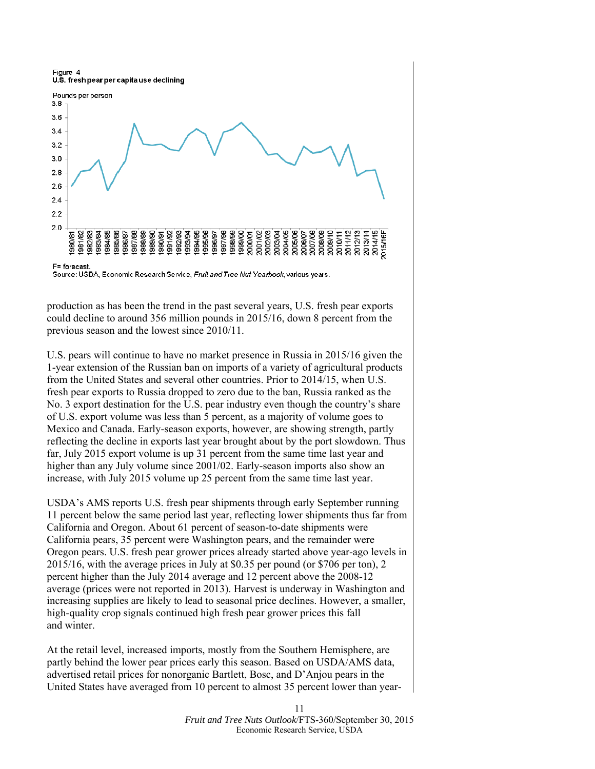Figure 4 U.S. fresh pear per capita use declining



Source: USDA, Economic Research Service, Fruit and Tree Nut Yearbook, various years.

production as has been the trend in the past several years, U.S. fresh pear exports could decline to around 356 million pounds in 2015/16, down 8 percent from the previous season and the lowest since 2010/11.

U.S. pears will continue to have no market presence in Russia in 2015/16 given the 1-year extension of the Russian ban on imports of a variety of agricultural products from the United States and several other countries. Prior to 2014/15, when U.S. fresh pear exports to Russia dropped to zero due to the ban, Russia ranked as the No. 3 export destination for the U.S. pear industry even though the country's share of U.S. export volume was less than 5 percent, as a majority of volume goes to Mexico and Canada. Early-season exports, however, are showing strength, partly reflecting the decline in exports last year brought about by the port slowdown. Thus far, July 2015 export volume is up 31 percent from the same time last year and higher than any July volume since 2001/02. Early-season imports also show an increase, with July 2015 volume up 25 percent from the same time last year.

USDA's AMS reports U.S. fresh pear shipments through early September running 11 percent below the same period last year, reflecting lower shipments thus far from California and Oregon. About 61 percent of season-to-date shipments were California pears, 35 percent were Washington pears, and the remainder were Oregon pears. U.S. fresh pear grower prices already started above year-ago levels in 2015/16, with the average prices in July at \$0.35 per pound (or \$706 per ton), 2 percent higher than the July 2014 average and 12 percent above the 2008-12 average (prices were not reported in 2013). Harvest is underway in Washington and increasing supplies are likely to lead to seasonal price declines. However, a smaller, high-quality crop signals continued high fresh pear grower prices this fall and winter.

At the retail level, increased imports, mostly from the Southern Hemisphere, are partly behind the lower pear prices early this season. Based on USDA/AMS data, advertised retail prices for nonorganic Bartlett, Bosc, and D'Anjou pears in the United States have averaged from 10 percent to almost 35 percent lower than year-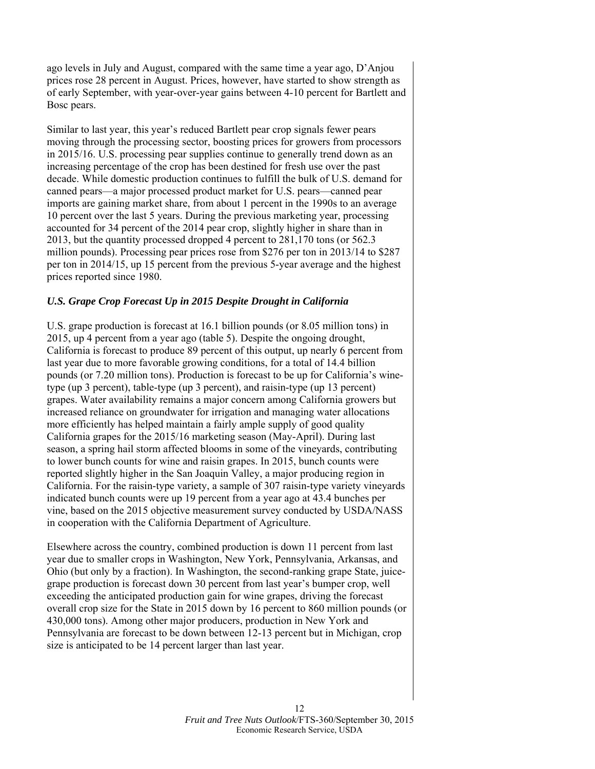ago levels in July and August, compared with the same time a year ago, D'Anjou prices rose 28 percent in August. Prices, however, have started to show strength as of early September, with year-over-year gains between 4-10 percent for Bartlett and Bosc pears.

Similar to last year, this year's reduced Bartlett pear crop signals fewer pears moving through the processing sector, boosting prices for growers from processors in 2015/16. U.S. processing pear supplies continue to generally trend down as an increasing percentage of the crop has been destined for fresh use over the past decade. While domestic production continues to fulfill the bulk of U.S. demand for canned pears—a major processed product market for U.S. pears—canned pear imports are gaining market share, from about 1 percent in the 1990s to an average 10 percent over the last 5 years. During the previous marketing year, processing accounted for 34 percent of the 2014 pear crop, slightly higher in share than in 2013, but the quantity processed dropped 4 percent to 281,170 tons (or 562.3 million pounds). Processing pear prices rose from \$276 per ton in 2013/14 to \$287 per ton in 2014/15, up 15 percent from the previous 5-year average and the highest prices reported since 1980.

## *U.S. Grape Crop Forecast Up in 2015 Despite Drought in California*

U.S. grape production is forecast at 16.1 billion pounds (or 8.05 million tons) in 2015, up 4 percent from a year ago (table 5). Despite the ongoing drought, California is forecast to produce 89 percent of this output, up nearly 6 percent from last year due to more favorable growing conditions, for a total of 14.4 billion pounds (or 7.20 million tons). Production is forecast to be up for California's winetype (up 3 percent), table-type (up 3 percent), and raisin-type (up 13 percent) grapes. Water availability remains a major concern among California growers but increased reliance on groundwater for irrigation and managing water allocations more efficiently has helped maintain a fairly ample supply of good quality California grapes for the 2015/16 marketing season (May-April). During last season, a spring hail storm affected blooms in some of the vineyards, contributing to lower bunch counts for wine and raisin grapes. In 2015, bunch counts were reported slightly higher in the San Joaquin Valley, a major producing region in California. For the raisin-type variety, a sample of 307 raisin-type variety vineyards indicated bunch counts were up 19 percent from a year ago at 43.4 bunches per vine, based on the 2015 objective measurement survey conducted by USDA/NASS in cooperation with the California Department of Agriculture.

Elsewhere across the country, combined production is down 11 percent from last year due to smaller crops in Washington, New York, Pennsylvania, Arkansas, and Ohio (but only by a fraction). In Washington, the second-ranking grape State, juicegrape production is forecast down 30 percent from last year's bumper crop, well exceeding the anticipated production gain for wine grapes, driving the forecast overall crop size for the State in 2015 down by 16 percent to 860 million pounds (or 430,000 tons). Among other major producers, production in New York and Pennsylvania are forecast to be down between 12-13 percent but in Michigan, crop size is anticipated to be 14 percent larger than last year.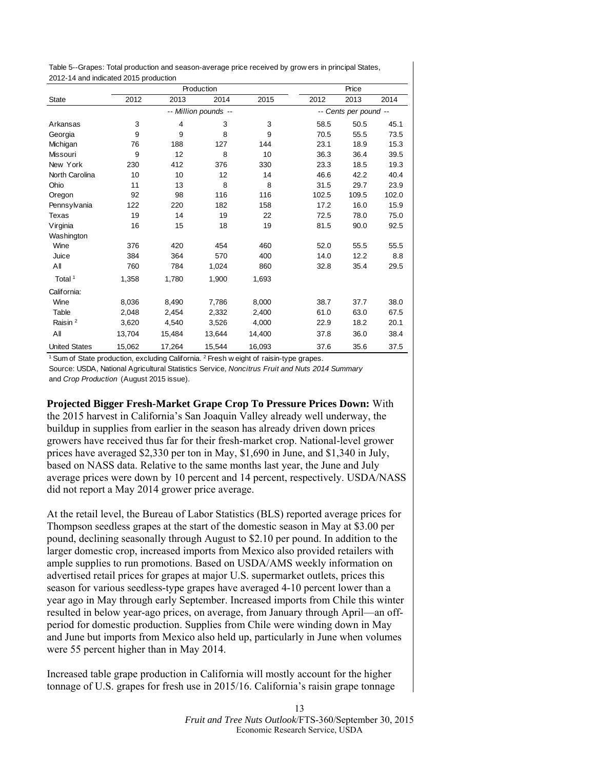<span id="page-12-0"></span>Table 5--Grapes: Total production and season-average price received by grow ers in principal States, 2012-14 and indicated 2015 production

|                      |        |                      | Production | Price  |       |                       |       |
|----------------------|--------|----------------------|------------|--------|-------|-----------------------|-------|
| <b>State</b>         | 2012   | 2013                 | 2014       | 2015   | 2012  | 2013                  | 2014  |
|                      |        | -- Million pounds -- |            |        |       | -- Cents per pound -- |       |
| Arkansas             | 3      | 4                    | 3          | 3      | 58.5  | 50.5                  | 45.1  |
| Georgia              | 9      | 9                    | 8          | 9      | 70.5  | 55.5                  | 73.5  |
| Michigan             | 76     | 188                  | 127        | 144    | 23.1  | 18.9                  | 15.3  |
| <b>Missouri</b>      | 9      | 12                   | 8          | 10     | 36.3  | 36.4                  | 39.5  |
| New York             | 230    | 412                  | 376        | 330    | 23.3  | 18.5                  | 19.3  |
| North Carolina       | 10     | 10                   | 12         | 14     | 46.6  | 42.2                  | 40.4  |
| Ohio                 | 11     | 13                   | 8          | 8      | 31.5  | 29.7                  | 23.9  |
| Oregon               | 92     | 98                   | 116        | 116    | 102.5 | 109.5                 | 102.0 |
| Pennsylvania         | 122    | 220                  | 182        | 158    | 17.2  | 16.0                  | 15.9  |
| Texas                | 19     | 14                   | 19         | 22     | 72.5  | 78.0                  | 75.0  |
| Virginia             | 16     | 15                   | 18         | 19     | 81.5  | 90.0                  | 92.5  |
| Washington           |        |                      |            |        |       |                       |       |
| Wine                 | 376    | 420                  | 454        | 460    | 52.0  | 55.5                  | 55.5  |
| Juice                | 384    | 364                  | 570        | 400    | 14.0  | 12.2                  | 8.8   |
| Αll                  | 760    | 784                  | 1,024      | 860    | 32.8  | 35.4                  | 29.5  |
| Total <sup>1</sup>   | 1,358  | 1,780                | 1,900      | 1,693  |       |                       |       |
| California:          |        |                      |            |        |       |                       |       |
| Wine                 | 8,036  | 8.490                | 7,786      | 8.000  | 38.7  | 37.7                  | 38.0  |
| Table                | 2,048  | 2,454                | 2,332      | 2,400  | 61.0  | 63.0                  | 67.5  |
| Raisin <sup>2</sup>  | 3,620  | 4,540                | 3,526      | 4,000  | 22.9  | 18.2                  | 20.1  |
| All                  | 13,704 | 15,484               | 13,644     | 14,400 | 37.8  | 36.0                  | 38.4  |
| <b>United States</b> | 15,062 | 17,264               | 15.544     | 16,093 | 37.6  | 35.6                  | 37.5  |

<sup>1</sup> Sum of State production, excluding California. <sup>2</sup> Fresh w eight of raisin-type grapes. Source: USDA, National Agricultural Statistics Service, *Noncitrus Fruit and Nuts 2014 Summary* and *Crop Production* (August 2015 issue).

**Projected Bigger Fresh-Market Grape Crop To Pressure Prices Down:** With the 2015 harvest in California's San Joaquin Valley already well underway, the buildup in supplies from earlier in the season has already driven down prices growers have received thus far for their fresh-market crop. National-level grower prices have averaged \$2,330 per ton in May, \$1,690 in June, and \$1,340 in July, based on NASS data. Relative to the same months last year, the June and July average prices were down by 10 percent and 14 percent, respectively. USDA/NASS did not report a May 2014 grower price average.

At the retail level, the Bureau of Labor Statistics (BLS) reported average prices for Thompson seedless grapes at the start of the domestic season in May at \$3.00 per pound, declining seasonally through August to \$2.10 per pound. In addition to the larger domestic crop, increased imports from Mexico also provided retailers with ample supplies to run promotions. Based on USDA/AMS weekly information on advertised retail prices for grapes at major U.S. supermarket outlets, prices this season for various seedless-type grapes have averaged 4-10 percent lower than a year ago in May through early September. Increased imports from Chile this winter resulted in below year-ago prices, on average, from January through April—an offperiod for domestic production. Supplies from Chile were winding down in May and June but imports from Mexico also held up, particularly in June when volumes were 55 percent higher than in May 2014.

Increased table grape production in California will mostly account for the higher tonnage of U.S. grapes for fresh use in 2015/16. California's raisin grape tonnage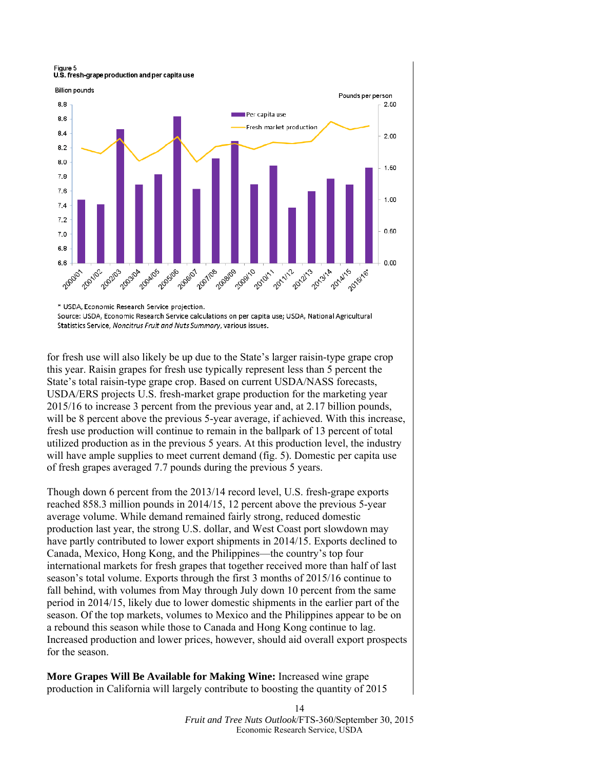

\* USDA, Economic Research Service projection.

Source: USDA, Economic Research Service calculations on per capita use; USDA, National Agricultural Statistics Service, Noncitrus Fruit and Nuts Summary, various issues.

for fresh use will also likely be up due to the State's larger raisin-type grape crop this year. Raisin grapes for fresh use typically represent less than 5 percent the State's total raisin-type grape crop. Based on current USDA/NASS forecasts, USDA/ERS projects U.S. fresh-market grape production for the marketing year 2015/16 to increase 3 percent from the previous year and, at 2.17 billion pounds, will be 8 percent above the previous 5-year average, if achieved. With this increase, fresh use production will continue to remain in the ballpark of 13 percent of total utilized production as in the previous 5 years. At this production level, the industry will have ample supplies to meet current demand (fig. 5). Domestic per capita use of fresh grapes averaged 7.7 pounds during the previous 5 years.

Though down 6 percent from the 2013/14 record level, U.S. fresh-grape exports reached 858.3 million pounds in 2014/15, 12 percent above the previous 5-year average volume. While demand remained fairly strong, reduced domestic production last year, the strong U.S. dollar, and West Coast port slowdown may have partly contributed to lower export shipments in 2014/15. Exports declined to Canada, Mexico, Hong Kong, and the Philippines—the country's top four international markets for fresh grapes that together received more than half of last season's total volume. Exports through the first 3 months of 2015/16 continue to fall behind, with volumes from May through July down 10 percent from the same period in 2014/15, likely due to lower domestic shipments in the earlier part of the season. Of the top markets, volumes to Mexico and the Philippines appear to be on a rebound this season while those to Canada and Hong Kong continue to lag. Increased production and lower prices, however, should aid overall export prospects for the season.

**More Grapes Will Be Available for Making Wine:** Increased wine grape production in California will largely contribute to boosting the quantity of 2015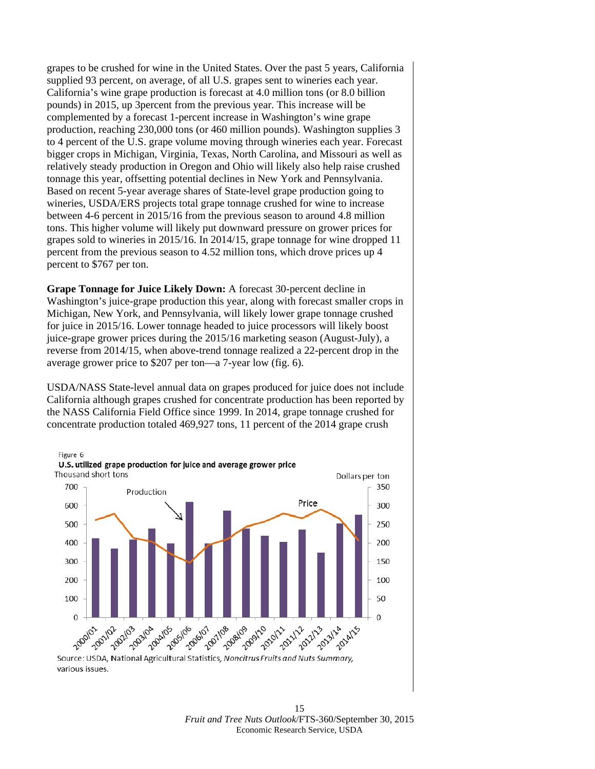grapes to be crushed for wine in the United States. Over the past 5 years, California supplied 93 percent, on average, of all U.S. grapes sent to wineries each year. California's wine grape production is forecast at 4.0 million tons (or 8.0 billion pounds) in 2015, up 3percent from the previous year. This increase will be complemented by a forecast 1-percent increase in Washington's wine grape production, reaching 230,000 tons (or 460 million pounds). Washington supplies 3 to 4 percent of the U.S. grape volume moving through wineries each year. Forecast bigger crops in Michigan, Virginia, Texas, North Carolina, and Missouri as well as relatively steady production in Oregon and Ohio will likely also help raise crushed tonnage this year, offsetting potential declines in New York and Pennsylvania. Based on recent 5-year average shares of State-level grape production going to wineries, USDA/ERS projects total grape tonnage crushed for wine to increase between 4-6 percent in 2015/16 from the previous season to around 4.8 million tons. This higher volume will likely put downward pressure on grower prices for grapes sold to wineries in 2015/16. In 2014/15, grape tonnage for wine dropped 11 percent from the previous season to 4.52 million tons, which drove prices up 4 percent to \$767 per ton.

**Grape Tonnage for Juice Likely Down:** A forecast 30-percent decline in Washington's juice-grape production this year, along with forecast smaller crops in Michigan, New York, and Pennsylvania, will likely lower grape tonnage crushed for juice in 2015/16. Lower tonnage headed to juice processors will likely boost juice-grape grower prices during the 2015/16 marketing season (August-July), a reverse from 2014/15, when above-trend tonnage realized a 22-percent drop in the average grower price to \$207 per ton—a 7-year low (fig. 6).

USDA/NASS State-level annual data on grapes produced for juice does not include California although grapes crushed for concentrate production has been reported by the NASS California Field Office since 1999. In 2014, grape tonnage crushed for concentrate production totaled 469,927 tons, 11 percent of the 2014 grape crush



various issues.

15 *Fruit and Tree Nuts Outlook*/FTS-360/September 30, 2015 Economic Research Service, USDA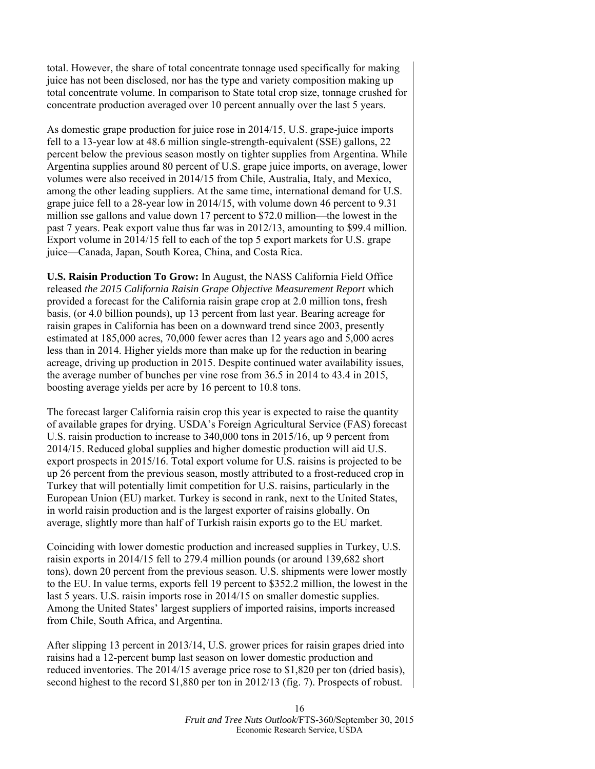total. However, the share of total concentrate tonnage used specifically for making juice has not been disclosed, nor has the type and variety composition making up total concentrate volume. In comparison to State total crop size, tonnage crushed for concentrate production averaged over 10 percent annually over the last 5 years.

As domestic grape production for juice rose in 2014/15, U.S. grape-juice imports fell to a 13-year low at 48.6 million single-strength-equivalent (SSE) gallons, 22 percent below the previous season mostly on tighter supplies from Argentina. While Argentina supplies around 80 percent of U.S. grape juice imports, on average, lower volumes were also received in 2014/15 from Chile, Australia, Italy, and Mexico, among the other leading suppliers. At the same time, international demand for U.S. grape juice fell to a 28-year low in 2014/15, with volume down 46 percent to 9.31 million sse gallons and value down 17 percent to \$72.0 million—the lowest in the past 7 years. Peak export value thus far was in 2012/13, amounting to \$99.4 million. Export volume in 2014/15 fell to each of the top 5 export markets for U.S. grape juice—Canada, Japan, South Korea, China, and Costa Rica.

**U.S. Raisin Production To Grow:** In August, the NASS California Field Office released *the 2015 California Raisin Grape Objective Measurement Report* which provided a forecast for the California raisin grape crop at 2.0 million tons, fresh basis, (or 4.0 billion pounds), up 13 percent from last year. Bearing acreage for raisin grapes in California has been on a downward trend since 2003, presently estimated at 185,000 acres, 70,000 fewer acres than 12 years ago and 5,000 acres less than in 2014. Higher yields more than make up for the reduction in bearing acreage, driving up production in 2015. Despite continued water availability issues, the average number of bunches per vine rose from 36.5 in 2014 to 43.4 in 2015, boosting average yields per acre by 16 percent to 10.8 tons.

The forecast larger California raisin crop this year is expected to raise the quantity of available grapes for drying. USDA's Foreign Agricultural Service (FAS) forecast U.S. raisin production to increase to 340,000 tons in 2015/16, up 9 percent from 2014/15. Reduced global supplies and higher domestic production will aid U.S. export prospects in 2015/16. Total export volume for U.S. raisins is projected to be up 26 percent from the previous season, mostly attributed to a frost-reduced crop in Turkey that will potentially limit competition for U.S. raisins, particularly in the European Union (EU) market. Turkey is second in rank, next to the United States, in world raisin production and is the largest exporter of raisins globally. On average, slightly more than half of Turkish raisin exports go to the EU market.

Coinciding with lower domestic production and increased supplies in Turkey, U.S. raisin exports in 2014/15 fell to 279.4 million pounds (or around 139,682 short tons), down 20 percent from the previous season. U.S. shipments were lower mostly to the EU. In value terms, exports fell 19 percent to \$352.2 million, the lowest in the last 5 years. U.S. raisin imports rose in 2014/15 on smaller domestic supplies. Among the United States' largest suppliers of imported raisins, imports increased from Chile, South Africa, and Argentina.

After slipping 13 percent in 2013/14, U.S. grower prices for raisin grapes dried into raisins had a 12-percent bump last season on lower domestic production and reduced inventories. The 2014/15 average price rose to \$1,820 per ton (dried basis), second highest to the record \$1,880 per ton in 2012/13 (fig. 7). Prospects of robust.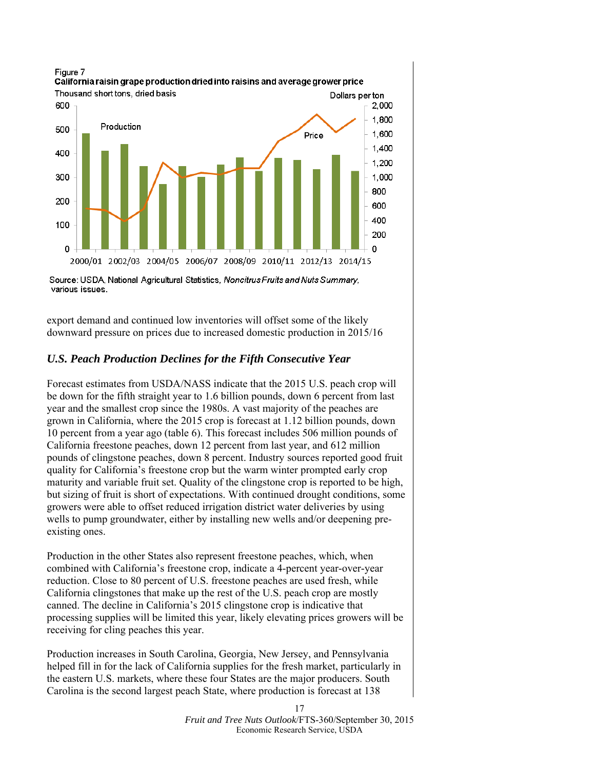

Source: USDA, National Agricultural Statistics, Noncitrus Fruits and Nuts Summary, various issues.

export demand and continued low inventories will offset some of the likely downward pressure on prices due to increased domestic production in 2015/16

## *U.S. Peach Production Declines for the Fifth Consecutive Year*

Forecast estimates from USDA/NASS indicate that the 2015 U.S. peach crop will be down for the fifth straight year to 1.6 billion pounds, down 6 percent from last year and the smallest crop since the 1980s. A vast majority of the peaches are grown in California, where the 2015 crop is forecast at 1.12 billion pounds, down 10 percent from a year ago (table 6). This forecast includes 506 million pounds of California freestone peaches, down 12 percent from last year, and 612 million pounds of clingstone peaches, down 8 percent. Industry sources reported good fruit quality for California's freestone crop but the warm winter prompted early crop maturity and variable fruit set. Quality of the clingstone crop is reported to be high, but sizing of fruit is short of expectations. With continued drought conditions, some growers were able to offset reduced irrigation district water deliveries by using wells to pump groundwater, either by installing new wells and/or deepening preexisting ones.

Production in the other States also represent freestone peaches, which, when combined with California's freestone crop, indicate a 4-percent year-over-year reduction. Close to 80 percent of U.S. freestone peaches are used fresh, while California clingstones that make up the rest of the U.S. peach crop are mostly canned. The decline in California's 2015 clingstone crop is indicative that processing supplies will be limited this year, likely elevating prices growers will be receiving for cling peaches this year.

Production increases in South Carolina, Georgia, New Jersey, and Pennsylvania helped fill in for the lack of California supplies for the fresh market, particularly in the eastern U.S. markets, where these four States are the major producers. South Carolina is the second largest peach State, where production is forecast at 138

> *Fruit and Tree Nuts Outlook*/FTS-360/September 30, 2015 Economic Research Service, USDA

17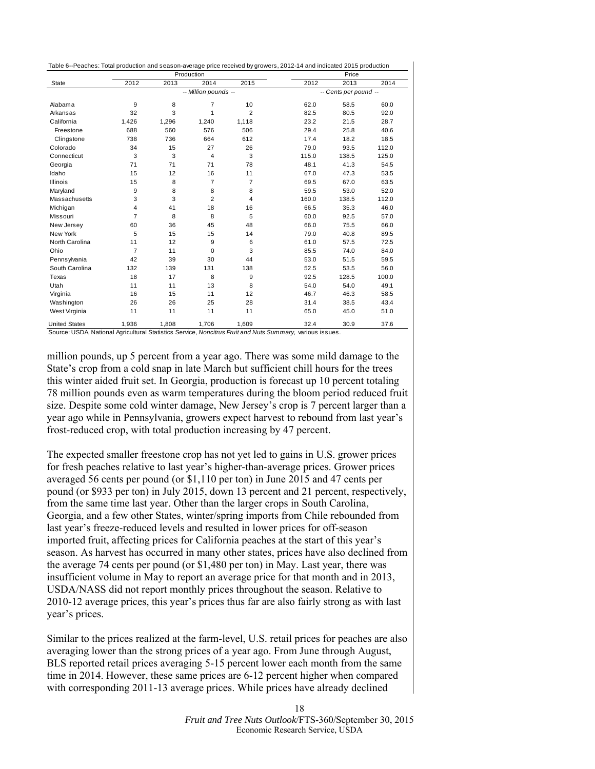<span id="page-17-0"></span>

|                      |                |       | Production           | Table 6--Peaches: Total production and season-average price received by growers, 2012-14 and indicated 2015 production<br>Price |       |                       |       |
|----------------------|----------------|-------|----------------------|---------------------------------------------------------------------------------------------------------------------------------|-------|-----------------------|-------|
| State                | 2012           | 2013  | 2014                 | 2015                                                                                                                            | 2012  | 2013                  | 2014  |
|                      |                |       | -- Million pounds -- |                                                                                                                                 |       | -- Cents per pound -- |       |
| Alabama              | 9              | 8     | $\overline{7}$       | 10                                                                                                                              | 62.0  | 58.5                  | 60.0  |
| Arkansas             | 32             | 3     | $\mathbf{1}$         | $\overline{2}$                                                                                                                  | 82.5  | 80.5                  | 92.0  |
| California           | 1,426          | 1,296 | 1,240                | 1,118                                                                                                                           | 23.2  | 21.5                  | 28.7  |
| Freestone            | 688            | 560   | 576                  | 506                                                                                                                             | 29.4  | 25.8                  | 40.6  |
| Clingstone           | 738            | 736   | 664                  | 612                                                                                                                             | 17.4  | 18.2                  | 18.5  |
| Colorado             | 34             | 15    | 27                   | 26                                                                                                                              | 79.0  | 93.5                  | 112.0 |
| Connecticut          | 3              | 3     | 4                    | 3                                                                                                                               | 115.0 | 138.5                 | 125.0 |
| Georgia              | 71             | 71    | 71                   | 78                                                                                                                              | 48.1  | 41.3                  | 54.5  |
| Idaho                | 15             | 12    | 16                   | 11                                                                                                                              | 67.0  | 47.3                  | 53.5  |
| <b>Illinois</b>      | 15             | 8     | $\overline{7}$       | $\overline{7}$                                                                                                                  | 69.5  | 67.0                  | 63.5  |
| Maryland             | 9              | 8     | 8                    | 8                                                                                                                               | 59.5  | 53.0                  | 52.0  |
| Massachusetts        | 3              | 3     | $\overline{2}$       | 4                                                                                                                               | 160.0 | 138.5                 | 112.0 |
| Michigan             | 4              | 41    | 18                   | 16                                                                                                                              | 66.5  | 35.3                  | 46.0  |
| Missouri             | $\overline{7}$ | 8     | 8                    | 5                                                                                                                               | 60.0  | 92.5                  | 57.0  |
| New Jersey           | 60             | 36    | 45                   | 48                                                                                                                              | 66.0  | 75.5                  | 66.0  |
| New York             | 5              | 15    | 15                   | 14                                                                                                                              | 79.0  | 40.8                  | 89.5  |
| North Carolina       | 11             | 12    | 9                    | 6                                                                                                                               | 61.0  | 57.5                  | 72.5  |
| Ohio                 | $\overline{7}$ | 11    | $\mathbf 0$          | 3                                                                                                                               | 85.5  | 74.0                  | 84.0  |
| Pennsylvania         | 42             | 39    | 30                   | 44                                                                                                                              | 53.0  | 51.5                  | 59.5  |
| South Carolina       | 132            | 139   | 131                  | 138                                                                                                                             | 52.5  | 53.5                  | 56.0  |
| Texas                | 18             | 17    | 8                    | 9                                                                                                                               | 92.5  | 128.5                 | 100.0 |
| Utah                 | 11             | 11    | 13                   | 8                                                                                                                               | 54.0  | 54.0                  | 49.1  |
| Virginia             | 16             | 15    | 11                   | 12                                                                                                                              | 46.7  | 46.3                  | 58.5  |
| Washington           | 26             | 26    | 25                   | 28                                                                                                                              | 31.4  | 38.5                  | 43.4  |
| West Virginia        | 11             | 11    | 11                   | 11                                                                                                                              | 65.0  | 45.0                  | 51.0  |
| <b>United States</b> | 1.936          | 1.808 | 1.706                | 1.609                                                                                                                           | 32.4  | 30.9                  | 37.6  |

Source: USDA, National Agricultural Statistics Service, *Noncitrus Fruit and Nuts Summary,* various issues.

million pounds, up 5 percent from a year ago. There was some mild damage to the State's crop from a cold snap in late March but sufficient chill hours for the trees this winter aided fruit set. In Georgia, production is forecast up 10 percent totaling 78 million pounds even as warm temperatures during the bloom period reduced fruit size. Despite some cold winter damage, New Jersey's crop is 7 percent larger than a year ago while in Pennsylvania, growers expect harvest to rebound from last year's frost-reduced crop, with total production increasing by 47 percent.

The expected smaller freestone crop has not yet led to gains in U.S. grower prices for fresh peaches relative to last year's higher-than-average prices. Grower prices averaged 56 cents per pound (or \$1,110 per ton) in June 2015 and 47 cents per pound (or \$933 per ton) in July 2015, down 13 percent and 21 percent, respectively, from the same time last year. Other than the larger crops in South Carolina, Georgia, and a few other States, winter/spring imports from Chile rebounded from last year's freeze-reduced levels and resulted in lower prices for off-season imported fruit, affecting prices for California peaches at the start of this year's season. As harvest has occurred in many other states, prices have also declined from the average 74 cents per pound (or \$1,480 per ton) in May. Last year, there was insufficient volume in May to report an average price for that month and in 2013, USDA/NASS did not report monthly prices throughout the season. Relative to 2010-12 average prices, this year's prices thus far are also fairly strong as with last year's prices.

Similar to the prices realized at the farm-level, U.S. retail prices for peaches are also averaging lower than the strong prices of a year ago. From June through August, BLS reported retail prices averaging 5-15 percent lower each month from the same time in 2014. However, these same prices are 6-12 percent higher when compared with corresponding 2011-13 average prices. While prices have already declined

> *Fruit and Tree Nuts Outlook*/FTS-360/September 30, 2015 Economic Research Service, USDA

18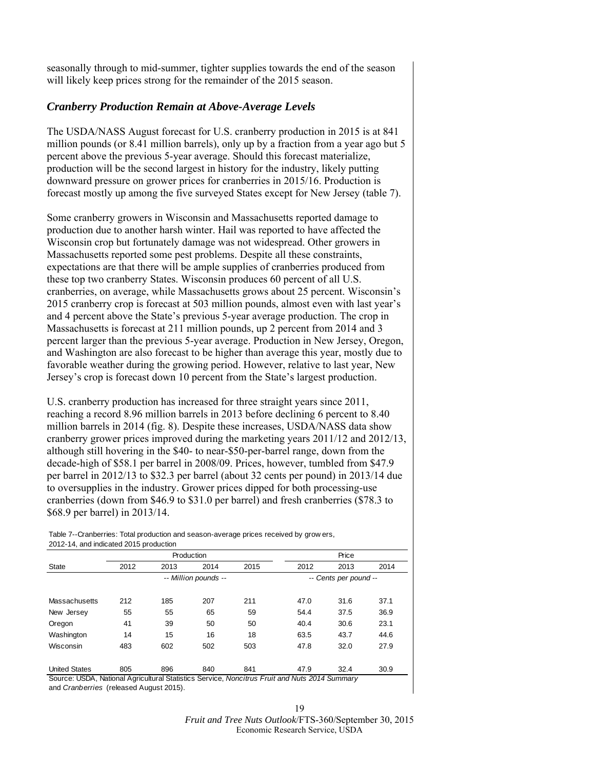<span id="page-18-0"></span>seasonally through to mid-summer, tighter supplies towards the end of the season will likely keep prices strong for the remainder of the 2015 season.

## *Cranberry Production Remain at Above-Average Levels*

The USDA/NASS August forecast for U.S. cranberry production in 2015 is at 841 million pounds (or 8.41 million barrels), only up by a fraction from a year ago but 5 percent above the previous 5-year average. Should this forecast materialize, production will be the second largest in history for the industry, likely putting downward pressure on grower prices for cranberries in 2015/16. Production is forecast mostly up among the five surveyed States except for New Jersey (table 7).

Some cranberry growers in Wisconsin and Massachusetts reported damage to production due to another harsh winter. Hail was reported to have affected the Wisconsin crop but fortunately damage was not widespread. Other growers in Massachusetts reported some pest problems. Despite all these constraints, expectations are that there will be ample supplies of cranberries produced from these top two cranberry States. Wisconsin produces 60 percent of all U.S. cranberries, on average, while Massachusetts grows about 25 percent. Wisconsin's 2015 cranberry crop is forecast at 503 million pounds, almost even with last year's and 4 percent above the State's previous 5-year average production. The crop in Massachusetts is forecast at 211 million pounds, up 2 percent from 2014 and 3 percent larger than the previous 5-year average. Production in New Jersey, Oregon, and Washington are also forecast to be higher than average this year, mostly due to favorable weather during the growing period. However, relative to last year, New Jersey's crop is forecast down 10 percent from the State's largest production.

U.S. cranberry production has increased for three straight years since 2011, reaching a record 8.96 million barrels in 2013 before declining 6 percent to 8.40 million barrels in 2014 (fig. 8). Despite these increases, USDA/NASS data show cranberry grower prices improved during the marketing years 2011/12 and 2012/13, although still hovering in the \$40- to near-\$50-per-barrel range, down from the decade-high of \$58.1 per barrel in 2008/09. Prices, however, tumbled from \$47.9 per barrel in 2012/13 to \$32.3 per barrel (about 32 cents per pound) in 2013/14 due to oversupplies in the industry. Grower prices dipped for both processing-use cranberries (down from \$46.9 to \$31.0 per barrel) and fresh cranberries (\$78.3 to \$68.9 per barrel) in 2013/14.

Table 7--Cranberries: Total production and season-average prices received by grow ers, 2012-14, and indicated 2015 production

|      |      |      | Price                              |      |      |                       |
|------|------|------|------------------------------------|------|------|-----------------------|
| 2012 | 2013 | 2014 | 2015                               | 2012 | 2013 | 2014                  |
|      |      |      |                                    |      |      |                       |
| 212  | 185  | 207  | 211                                | 47.0 | 31.6 | 37.1                  |
| 55   | 55   | 65   | 59                                 | 54.4 | 37.5 | 36.9                  |
| 41   | 39   | 50   | 50                                 | 40.4 | 30.6 | 23.1                  |
| 14   | 15   | 16   | 18                                 | 63.5 | 43.7 | 44.6                  |
| 483  | 602  | 502  | 503                                | 47.8 | 32.0 | 27.9                  |
| 805  | 896  | 840  | 841                                | 47.9 | 32.4 | 30.9                  |
|      |      |      | Production<br>-- Million pounds -- |      |      | -- Cents per pound -- |

and *Cranberries* (released August 2015).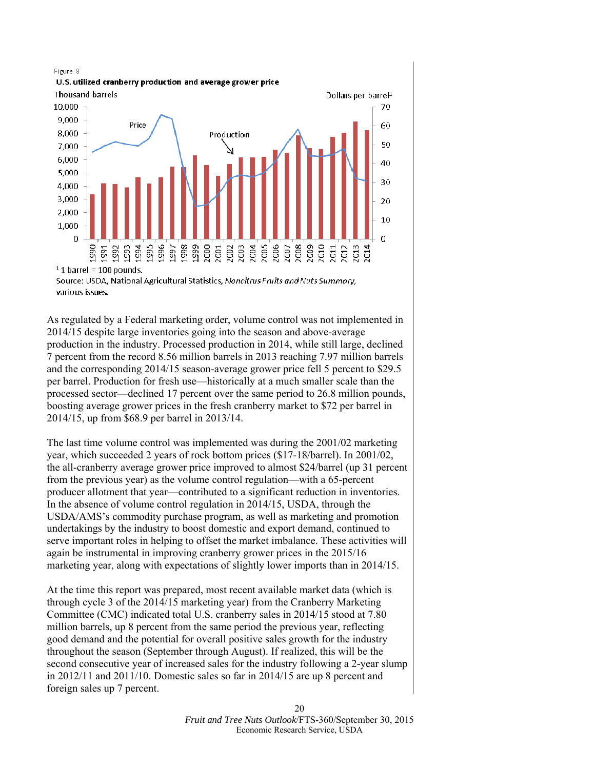

 $1$  1 barrel = 100 pounds.

As regulated by a Federal marketing order, volume control was not implemented in 2014/15 despite large inventories going into the season and above-average production in the industry. Processed production in 2014, while still large, declined 7 percent from the record 8.56 million barrels in 2013 reaching 7.97 million barrels and the corresponding 2014/15 season-average grower price fell 5 percent to \$29.5 per barrel. Production for fresh use—historically at a much smaller scale than the processed sector—declined 17 percent over the same period to 26.8 million pounds, boosting average grower prices in the fresh cranberry market to \$72 per barrel in 2014/15, up from \$68.9 per barrel in 2013/14.

The last time volume control was implemented was during the 2001/02 marketing year, which succeeded 2 years of rock bottom prices (\$17-18/barrel). In 2001/02, the all-cranberry average grower price improved to almost \$24/barrel (up 31 percent from the previous year) as the volume control regulation—with a 65-percent producer allotment that year—contributed to a significant reduction in inventories. In the absence of volume control regulation in 2014/15, USDA, through the USDA/AMS's commodity purchase program, as well as marketing and promotion undertakings by the industry to boost domestic and export demand, continued to serve important roles in helping to offset the market imbalance. These activities will again be instrumental in improving cranberry grower prices in the 2015/16 marketing year, along with expectations of slightly lower imports than in 2014/15.

At the time this report was prepared, most recent available market data (which is through cycle 3 of the 2014/15 marketing year) from the Cranberry Marketing Committee (CMC) indicated total U.S. cranberry sales in 2014/15 stood at 7.80 million barrels, up 8 percent from the same period the previous year, reflecting good demand and the potential for overall positive sales growth for the industry throughout the season (September through August). If realized, this will be the second consecutive year of increased sales for the industry following a 2-year slump in 2012/11 and 2011/10. Domestic sales so far in 2014/15 are up 8 percent and foreign sales up 7 percent.

Source: USDA, National Agricultural Statistics, Noncitrus Fruits and Nuts Summary, various issues.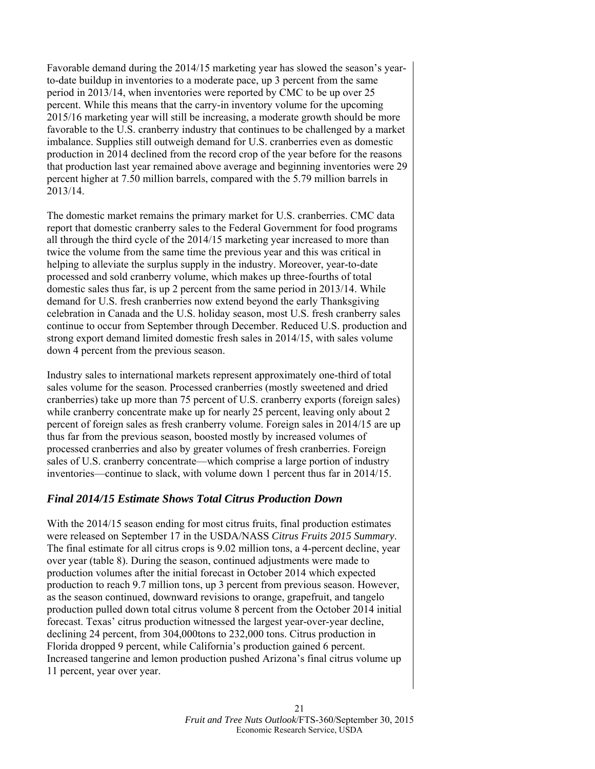Favorable demand during the 2014/15 marketing year has slowed the season's yearto-date buildup in inventories to a moderate pace, up 3 percent from the same period in 2013/14, when inventories were reported by CMC to be up over 25 percent. While this means that the carry-in inventory volume for the upcoming 2015/16 marketing year will still be increasing, a moderate growth should be more favorable to the U.S. cranberry industry that continues to be challenged by a market imbalance. Supplies still outweigh demand for U.S. cranberries even as domestic production in 2014 declined from the record crop of the year before for the reasons that production last year remained above average and beginning inventories were 29 percent higher at 7.50 million barrels, compared with the 5.79 million barrels in 2013/14.

The domestic market remains the primary market for U.S. cranberries. CMC data report that domestic cranberry sales to the Federal Government for food programs all through the third cycle of the 2014/15 marketing year increased to more than twice the volume from the same time the previous year and this was critical in helping to alleviate the surplus supply in the industry. Moreover, year-to-date processed and sold cranberry volume, which makes up three-fourths of total domestic sales thus far, is up 2 percent from the same period in 2013/14. While demand for U.S. fresh cranberries now extend beyond the early Thanksgiving celebration in Canada and the U.S. holiday season, most U.S. fresh cranberry sales continue to occur from September through December. Reduced U.S. production and strong export demand limited domestic fresh sales in 2014/15, with sales volume down 4 percent from the previous season.

Industry sales to international markets represent approximately one-third of total sales volume for the season. Processed cranberries (mostly sweetened and dried cranberries) take up more than 75 percent of U.S. cranberry exports (foreign sales) while cranberry concentrate make up for nearly 25 percent, leaving only about 2 percent of foreign sales as fresh cranberry volume. Foreign sales in 2014/15 are up thus far from the previous season, boosted mostly by increased volumes of processed cranberries and also by greater volumes of fresh cranberries. Foreign sales of U.S. cranberry concentrate—which comprise a large portion of industry inventories—continue to slack, with volume down 1 percent thus far in 2014/15.

## *Final 2014/15 Estimate Shows Total Citrus Production Down*

With the 2014/15 season ending for most citrus fruits, final production estimates were released on September 17 in the USDA/NASS *Citrus Fruits 2015 Summary*. The final estimate for all citrus crops is 9.02 million tons, a 4-percent decline, year over year (table 8). During the season, continued adjustments were made to production volumes after the initial forecast in October 2014 which expected production to reach 9.7 million tons, up 3 percent from previous season. However, as the season continued, downward revisions to orange, grapefruit, and tangelo production pulled down total citrus volume 8 percent from the October 2014 initial forecast. Texas' citrus production witnessed the largest year-over-year decline, declining 24 percent, from 304,000tons to 232,000 tons. Citrus production in Florida dropped 9 percent, while California's production gained 6 percent. Increased tangerine and lemon production pushed Arizona's final citrus volume up 11 percent, year over year.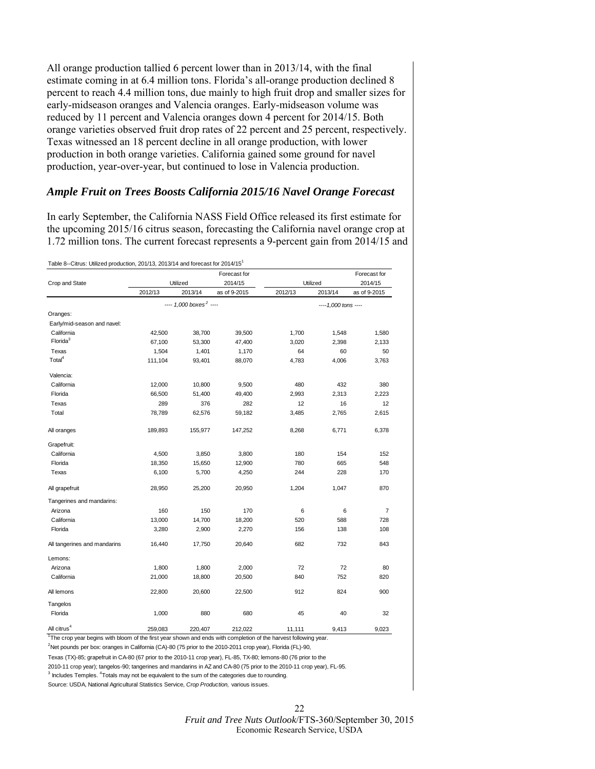<span id="page-21-0"></span>All orange production tallied 6 percent lower than in 2013/14, with the final estimate coming in at 6.4 million tons. Florida's all-orange production declined 8 percent to reach 4.4 million tons, due mainly to high fruit drop and smaller sizes for early-midseason oranges and Valencia oranges. Early-midseason volume was reduced by 11 percent and Valencia oranges down 4 percent for 2014/15. Both orange varieties observed fruit drop rates of 22 percent and 25 percent, respectively. Texas witnessed an 18 percent decline in all orange production, with lower production in both orange varieties. California gained some ground for navel production, year-over-year, but continued to lose in Valencia production.

## *Ample Fruit on Trees Boosts California 2015/16 Navel Orange Forecast*

In early September, the California NASS Field Office released its first estimate for the upcoming 2015/16 citrus season, forecasting the California navel orange crop at 1.72 million tons. The current forecast represents a 9-percent gain from 2014/15 and

Table 8--Citrus: Utilized production, 201/13, 2013/14 and forecast for 2014/151

|                              |                                |                                      | Forecast for            |         | Utilized             | Forecast for            |
|------------------------------|--------------------------------|--------------------------------------|-------------------------|---------|----------------------|-------------------------|
| Crop and State               | Utilized<br>2012/13<br>2013/14 |                                      | 2014/15<br>as of 9-2015 | 2012/13 | 2013/14              | 2014/15<br>as of 9-2015 |
|                              |                                | $--- 1,000$ boxes <sup>2</sup> $---$ |                         |         | ---- 1,000 tons ---- |                         |
| Oranges:                     |                                |                                      |                         |         |                      |                         |
| Early/mid-season and navel:  |                                |                                      |                         |         |                      |                         |
| California                   | 42,500                         | 38,700                               | 39,500                  | 1,700   | 1,548                | 1,580                   |
| Florida <sup>3</sup>         | 67,100                         | 53,300                               | 47,400                  | 3,020   | 2,398                | 2,133                   |
| Texas                        | 1,504                          | 1,401                                | 1,170                   | 64      | 60                   | 50                      |
| Total <sup>4</sup>           | 111,104                        | 93,401                               | 88,070                  | 4,783   | 4,006                | 3,763                   |
| Valencia:                    |                                |                                      |                         |         |                      |                         |
| California                   | 12,000                         | 10,800                               | 9,500                   | 480     | 432                  | 380                     |
| Florida                      | 66,500                         | 51,400                               | 49,400                  | 2,993   | 2,313                | 2,223                   |
| Texas                        | 289                            | 376                                  | 282                     | 12      | 16                   | 12                      |
| Total                        | 78,789                         | 62,576                               | 59,182                  | 3,485   | 2,765                | 2,615                   |
| All oranges                  | 189,893                        | 155,977                              | 147,252                 | 8,268   | 6,771                | 6,378                   |
| Grapefruit:                  |                                |                                      |                         |         |                      |                         |
| California                   | 4,500                          | 3,850                                | 3,800                   | 180     | 154                  | 152                     |
| Florida                      | 18,350                         | 15,650                               | 12,900                  | 780     | 665                  | 548                     |
| Texas                        | 6,100                          | 5,700                                | 4,250                   | 244     | 228                  | 170                     |
| All grapefruit               | 28,950                         | 25,200                               | 20,950                  | 1,204   | 1,047                | 870                     |
| Tangerines and mandarins:    |                                |                                      |                         |         |                      |                         |
| Arizona                      | 160                            | 150                                  | 170                     | 6       | 6                    | $\overline{7}$          |
| California                   | 13,000                         | 14,700                               | 18,200                  | 520     | 588                  | 728                     |
| Florida                      | 3,280                          | 2,900                                | 2,270                   | 156     | 138                  | 108                     |
| All tangerines and mandarins | 16,440                         | 17,750                               | 20,640                  | 682     | 732                  | 843                     |
| Lemons:                      |                                |                                      |                         |         |                      |                         |
| Arizona                      | 1,800                          | 1,800                                | 2,000                   | 72      | 72                   | 80                      |
| California                   | 21,000                         | 18,800                               | 20,500                  | 840     | 752                  | 820                     |
| All lemons                   | 22,800                         | 20,600                               | 22,500                  | 912     | 824                  | 900                     |
| Tangelos                     |                                |                                      |                         |         |                      |                         |
| Florida                      | 1,000                          | 880                                  | 680                     | 45      | 40                   | 32                      |
| All citrus <sup>4</sup>      | 259,083                        | 220,407                              | 212,022                 | 11,111  | 9,413                | 9,023                   |

<sup>2</sup>Net pounds per box: oranges in California (CA)-80 (75 prior to the 2010-2011 crop year), Florida (FL)-90,

Texas (TX)-85; grapefruit in CA-80 (67 prior to the 2010-11 crop year), FL-85, TX-80; lemons-80 (76 prior to the

2010-11 crop year); tangelos-90; tangerines and mandarins in AZ and CA-80 (75 prior to the 2010-11 crop year), FL-95.  $3$  Includes Temples.  $4$ Totals may not be equivalent to the sum of the categories due to rounding.

Source: USDA, National Agricultural Statistics Service, *Crop Production,* various issues.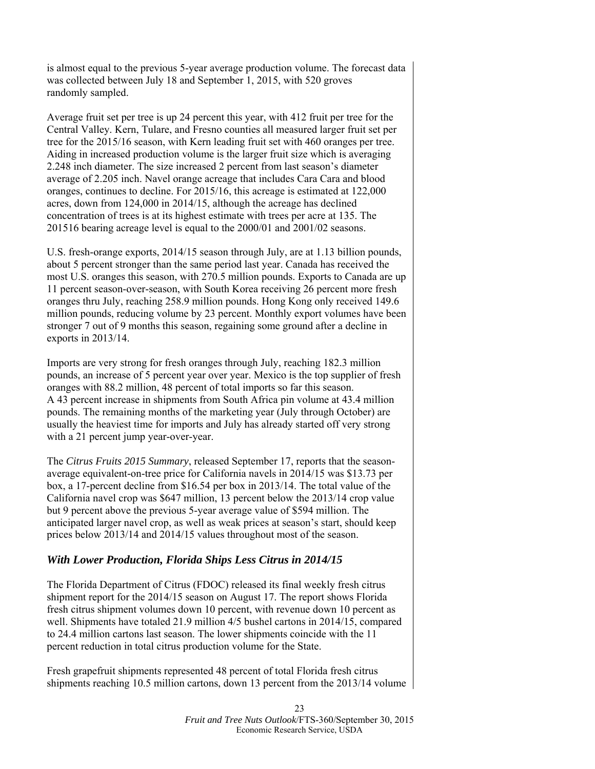is almost equal to the previous 5-year average production volume. The forecast data was collected between July 18 and September 1, 2015, with 520 groves randomly sampled.

Average fruit set per tree is up 24 percent this year, with 412 fruit per tree for the Central Valley. Kern, Tulare, and Fresno counties all measured larger fruit set per tree for the 2015/16 season, with Kern leading fruit set with 460 oranges per tree. Aiding in increased production volume is the larger fruit size which is averaging 2.248 inch diameter. The size increased 2 percent from last season's diameter average of 2.205 inch. Navel orange acreage that includes Cara Cara and blood oranges, continues to decline. For 2015/16, this acreage is estimated at 122,000 acres, down from 124,000 in 2014/15, although the acreage has declined concentration of trees is at its highest estimate with trees per acre at 135. The 201516 bearing acreage level is equal to the 2000/01 and 2001/02 seasons.

U.S. fresh-orange exports, 2014/15 season through July, are at 1.13 billion pounds, about 5 percent stronger than the same period last year. Canada has received the most U.S. oranges this season, with 270.5 million pounds. Exports to Canada are up 11 percent season-over-season, with South Korea receiving 26 percent more fresh oranges thru July, reaching 258.9 million pounds. Hong Kong only received 149.6 million pounds, reducing volume by 23 percent. Monthly export volumes have been stronger 7 out of 9 months this season, regaining some ground after a decline in exports in 2013/14.

Imports are very strong for fresh oranges through July, reaching 182.3 million pounds, an increase of 5 percent year over year. Mexico is the top supplier of fresh oranges with 88.2 million, 48 percent of total imports so far this season. A 43 percent increase in shipments from South Africa pin volume at 43.4 million pounds. The remaining months of the marketing year (July through October) are usually the heaviest time for imports and July has already started off very strong with a 21 percent jump year-over-year.

The *Citrus Fruits 2015 Summary*, released September 17, reports that the seasonaverage equivalent-on-tree price for California navels in 2014/15 was \$13.73 per box, a 17-percent decline from \$16.54 per box in 2013/14. The total value of the California navel crop was \$647 million, 13 percent below the 2013/14 crop value but 9 percent above the previous 5-year average value of \$594 million. The anticipated larger navel crop, as well as weak prices at season's start, should keep prices below 2013/14 and 2014/15 values throughout most of the season.

## *With Lower Production, Florida Ships Less Citrus in 2014/15*

The Florida Department of Citrus (FDOC) released its final weekly fresh citrus shipment report for the 2014/15 season on August 17. The report shows Florida fresh citrus shipment volumes down 10 percent, with revenue down 10 percent as well. Shipments have totaled 21.9 million 4/5 bushel cartons in 2014/15, compared to 24.4 million cartons last season. The lower shipments coincide with the 11 percent reduction in total citrus production volume for the State.

Fresh grapefruit shipments represented 48 percent of total Florida fresh citrus shipments reaching 10.5 million cartons, down 13 percent from the 2013/14 volume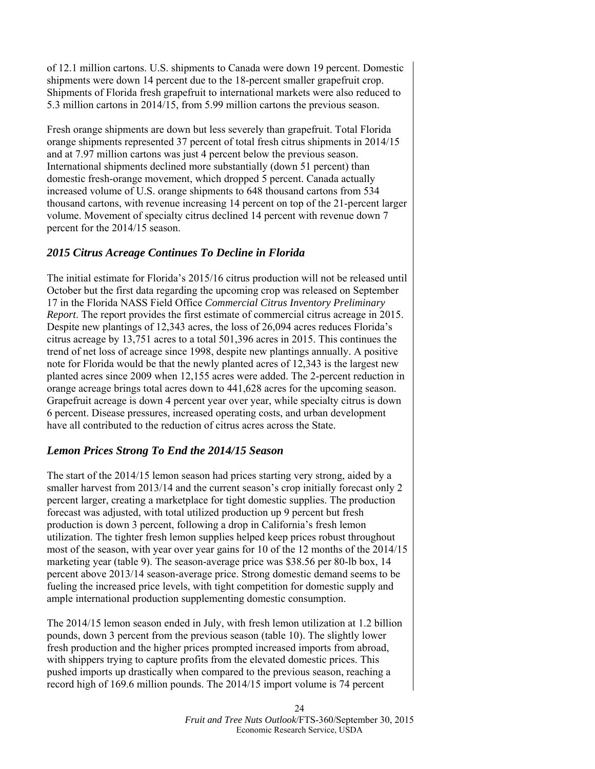of 12.1 million cartons. U.S. shipments to Canada were down 19 percent. Domestic shipments were down 14 percent due to the 18-percent smaller grapefruit crop. Shipments of Florida fresh grapefruit to international markets were also reduced to 5.3 million cartons in 2014/15, from 5.99 million cartons the previous season.

Fresh orange shipments are down but less severely than grapefruit. Total Florida orange shipments represented 37 percent of total fresh citrus shipments in 2014/15 and at 7.97 million cartons was just 4 percent below the previous season. International shipments declined more substantially (down 51 percent) than domestic fresh-orange movement, which dropped 5 percent. Canada actually increased volume of U.S. orange shipments to 648 thousand cartons from 534 thousand cartons, with revenue increasing 14 percent on top of the 21-percent larger volume. Movement of specialty citrus declined 14 percent with revenue down 7 percent for the 2014/15 season.

## *2015 Citrus Acreage Continues To Decline in Florida*

The initial estimate for Florida's 2015/16 citrus production will not be released until October but the first data regarding the upcoming crop was released on September 17 in the Florida NASS Field Office *Commercial Citrus Inventory Preliminary Report*. The report provides the first estimate of commercial citrus acreage in 2015. Despite new plantings of 12,343 acres, the loss of 26,094 acres reduces Florida's citrus acreage by 13,751 acres to a total 501,396 acres in 2015. This continues the trend of net loss of acreage since 1998, despite new plantings annually. A positive note for Florida would be that the newly planted acres of 12,343 is the largest new planted acres since 2009 when 12,155 acres were added. The 2-percent reduction in orange acreage brings total acres down to 441,628 acres for the upcoming season. Grapefruit acreage is down 4 percent year over year, while specialty citrus is down 6 percent. Disease pressures, increased operating costs, and urban development have all contributed to the reduction of citrus acres across the State.

## *Lemon Prices Strong To End the 2014/15 Season*

The start of the 2014/15 lemon season had prices starting very strong, aided by a smaller harvest from 2013/14 and the current season's crop initially forecast only 2 percent larger, creating a marketplace for tight domestic supplies. The production forecast was adjusted, with total utilized production up 9 percent but fresh production is down 3 percent, following a drop in California's fresh lemon utilization. The tighter fresh lemon supplies helped keep prices robust throughout most of the season, with year over year gains for 10 of the 12 months of the 2014/15 marketing year (table 9). The season-average price was \$38.56 per 80-lb box, 14 percent above 2013/14 season-average price. Strong domestic demand seems to be fueling the increased price levels, with tight competition for domestic supply and ample international production supplementing domestic consumption.

The 2014/15 lemon season ended in July, with fresh lemon utilization at 1.2 billion pounds, down 3 percent from the previous season (table 10). The slightly lower fresh production and the higher prices prompted increased imports from abroad, with shippers trying to capture profits from the elevated domestic prices. This pushed imports up drastically when compared to the previous season, reaching a record high of 169.6 million pounds. The 2014/15 import volume is 74 percent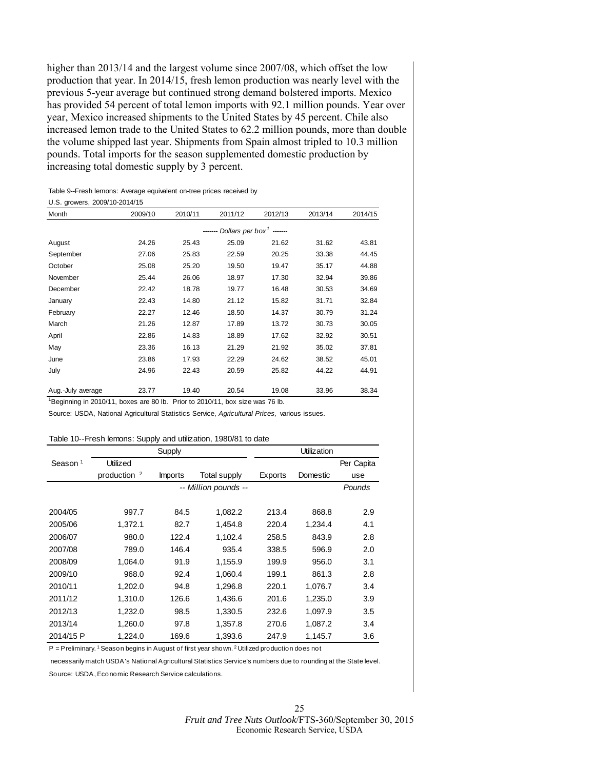<span id="page-24-0"></span>higher than 2013/14 and the largest volume since 2007/08, which offset the low production that year. In 2014/15, fresh lemon production was nearly level with the previous 5-year average but continued strong demand bolstered imports. Mexico has provided 54 percent of total lemon imports with 92.1 million pounds. Year over year, Mexico increased shipments to the United States by 45 percent. Chile also increased lemon trade to the United States to 62.2 million pounds, more than double the volume shipped last year. Shipments from Spain almost tripled to 10.3 million pounds. Total imports for the season supplemented domestic production by increasing total domestic supply by 3 percent.

#### Table 9--Fresh lemons: Average equivalent on-tree prices received by

#### U.S. growers, 2009/10-2014/15

| Month             | 2009/10 | 2010/11 | 2011/12                                      | 2012/13 | 2013/14 | 2014/15 |
|-------------------|---------|---------|----------------------------------------------|---------|---------|---------|
|                   |         |         | ------- Dollars per box <sup>1</sup> ------- |         |         |         |
| August            | 24.26   | 25.43   | 25.09                                        | 21.62   | 31.62   | 43.81   |
| September         | 27.06   | 25.83   | 22.59                                        | 20.25   | 33.38   | 44.45   |
| October           | 25.08   | 25.20   | 19.50                                        | 19.47   | 35.17   | 44.88   |
| November          | 25.44   | 26.06   | 18.97                                        | 17.30   | 32.94   | 39.86   |
| December          | 22.42   | 18.78   | 19.77                                        | 16.48   | 30.53   | 34.69   |
| January           | 22.43   | 14.80   | 21.12                                        | 15.82   | 31.71   | 32.84   |
| February          | 22.27   | 12.46   | 18.50                                        | 14.37   | 30.79   | 31.24   |
| March             | 21.26   | 12.87   | 17.89                                        | 13.72   | 30.73   | 30.05   |
| April             | 22.86   | 14.83   | 18.89                                        | 17.62   | 32.92   | 30.51   |
| May               | 23.36   | 16.13   | 21.29                                        | 21.92   | 35.02   | 37.81   |
| June              | 23.86   | 17.93   | 22.29                                        | 24.62   | 38.52   | 45.01   |
| July              | 24.96   | 22.43   | 20.59                                        | 25.82   | 44.22   | 44.91   |
| Aug.-July average | 23.77   | 19.40   | 20.54                                        | 19.08   | 33.96   | 38.34   |

<sup>1</sup>Beginning in 2010/11, boxes are 80 lb. Prior to 2010/11, box size was 76 lb.

Source: USDA, National Agricultural Statistics Service, *Agricultural Prices,* various issues.

#### Table 10--Fresh lemons: Supply and utilization, 1980/81 to date

|                     | Supply         |                |                      | Utilization |          |            |  |
|---------------------|----------------|----------------|----------------------|-------------|----------|------------|--|
| Season <sup>1</sup> | Utilized       |                |                      |             |          | Per Capita |  |
|                     | production $2$ | <b>Imports</b> | <b>Total supply</b>  | Exports     | Domestic | use        |  |
|                     |                |                | -- Million pounds -- |             |          | Pounds     |  |
|                     |                |                |                      |             |          |            |  |
| 2004/05             | 997.7          | 84.5           | 1,082.2              | 213.4       | 868.8    | 2.9        |  |
| 2005/06             | 1,372.1        | 82.7           | 1,454.8              | 220.4       | 1,234.4  | 4.1        |  |
| 2006/07             | 980.0          | 122.4          | 1,102.4              | 258.5       | 843.9    | 2.8        |  |
| 2007/08             | 789.0          | 146.4          | 935.4                | 338.5       | 596.9    | 2.0        |  |
| 2008/09             | 1,064.0        | 91.9           | 1,155.9              | 199.9       | 956.0    | 3.1        |  |
| 2009/10             | 968.0          | 92.4           | 1,060.4              | 199.1       | 861.3    | 2.8        |  |
| 2010/11             | 1,202.0        | 94.8           | 1,296.8              | 220.1       | 1,076.7  | 3.4        |  |
| 2011/12             | 1,310.0        | 126.6          | 1,436.6              | 201.6       | 1,235.0  | 3.9        |  |
| 2012/13             | 1,232.0        | 98.5           | 1,330.5              | 232.6       | 1,097.9  | 3.5        |  |
| 2013/14             | 1,260.0        | 97.8           | 1,357.8              | 270.6       | 1,087.2  | 3.4        |  |
| 2014/15 P           | 1,224.0        | 169.6          | 1,393.6              | 247.9       | 1,145.7  | 3.6        |  |

P = Preliminary. <sup>1</sup> Season begins in August of first year shown. <sup>2</sup> Utilized production does not

 necessarily match USDA's National Agricultural Statistics Service's numbers due to rounding at the State level. Source: USDA, Economic Research Service calculations.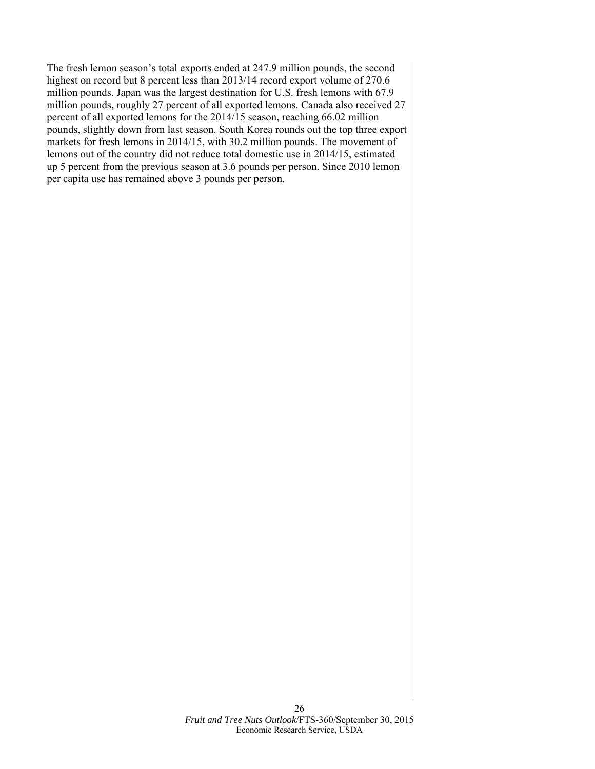The fresh lemon season's total exports ended at 247.9 million pounds, the second highest on record but 8 percent less than 2013/14 record export volume of 270.6 million pounds. Japan was the largest destination for U.S. fresh lemons with 67.9 million pounds, roughly 27 percent of all exported lemons. Canada also received 27 percent of all exported lemons for the 2014/15 season, reaching 66.02 million pounds, slightly down from last season. South Korea rounds out the top three export markets for fresh lemons in 2014/15, with 30.2 million pounds. The movement of lemons out of the country did not reduce total domestic use in 2014/15, estimated up 5 percent from the previous season at 3.6 pounds per person. Since 2010 lemon per capita use has remained above 3 pounds per person.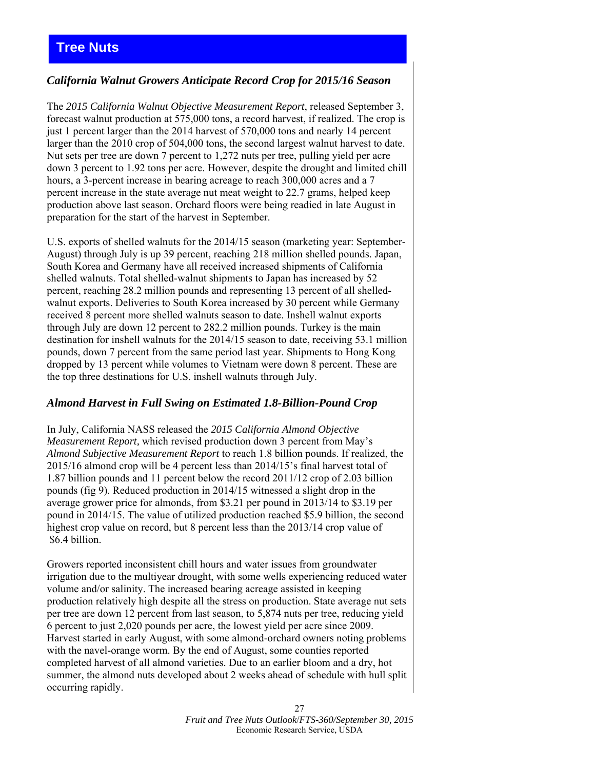# <span id="page-26-0"></span>**Tree Nuts**

## *California Walnut Growers Anticipate Record Crop for 2015/16 Season*

The *2015 California Walnut Objective Measurement Report*, released September 3, forecast walnut production at 575,000 tons, a record harvest, if realized. The crop is just 1 percent larger than the 2014 harvest of 570,000 tons and nearly 14 percent larger than the 2010 crop of 504,000 tons, the second largest walnut harvest to date. Nut sets per tree are down 7 percent to 1,272 nuts per tree, pulling yield per acre down 3 percent to 1.92 tons per acre. However, despite the drought and limited chill hours, a 3-percent increase in bearing acreage to reach 300,000 acres and a 7 percent increase in the state average nut meat weight to 22.7 grams, helped keep production above last season. Orchard floors were being readied in late August in preparation for the start of the harvest in September.

U.S. exports of shelled walnuts for the 2014/15 season (marketing year: September-August) through July is up 39 percent, reaching 218 million shelled pounds. Japan, South Korea and Germany have all received increased shipments of California shelled walnuts. Total shelled-walnut shipments to Japan has increased by 52 percent, reaching 28.2 million pounds and representing 13 percent of all shelledwalnut exports. Deliveries to South Korea increased by 30 percent while Germany received 8 percent more shelled walnuts season to date. Inshell walnut exports through July are down 12 percent to 282.2 million pounds. Turkey is the main destination for inshell walnuts for the 2014/15 season to date, receiving 53.1 million pounds, down 7 percent from the same period last year. Shipments to Hong Kong dropped by 13 percent while volumes to Vietnam were down 8 percent. These are the top three destinations for U.S. inshell walnuts through July.

## *Almond Harvest in Full Swing on Estimated 1.8-Billion-Pound Crop*

In July, California NASS released the *2015 California Almond Objective Measurement Report,* which revised production down 3 percent from May's *Almond Subjective Measurement Report* to reach 1.8 billion pounds. If realized, the 2015/16 almond crop will be 4 percent less than 2014/15's final harvest total of 1.87 billion pounds and 11 percent below the record 2011/12 crop of 2.03 billion pounds (fig 9). Reduced production in 2014/15 witnessed a slight drop in the average grower price for almonds, from \$3.21 per pound in 2013/14 to \$3.19 per pound in 2014/15. The value of utilized production reached \$5.9 billion, the second highest crop value on record, but 8 percent less than the 2013/14 crop value of \$6.4 billion.

Growers reported inconsistent chill hours and water issues from groundwater irrigation due to the multiyear drought, with some wells experiencing reduced water volume and/or salinity. The increased bearing acreage assisted in keeping production relatively high despite all the stress on production. State average nut sets per tree are down 12 percent from last season, to 5,874 nuts per tree, reducing yield 6 percent to just 2,020 pounds per acre, the lowest yield per acre since 2009. Harvest started in early August, with some almond-orchard owners noting problems with the navel-orange worm. By the end of August, some counties reported completed harvest of all almond varieties. Due to an earlier bloom and a dry, hot summer, the almond nuts developed about 2 weeks ahead of schedule with hull split occurring rapidly.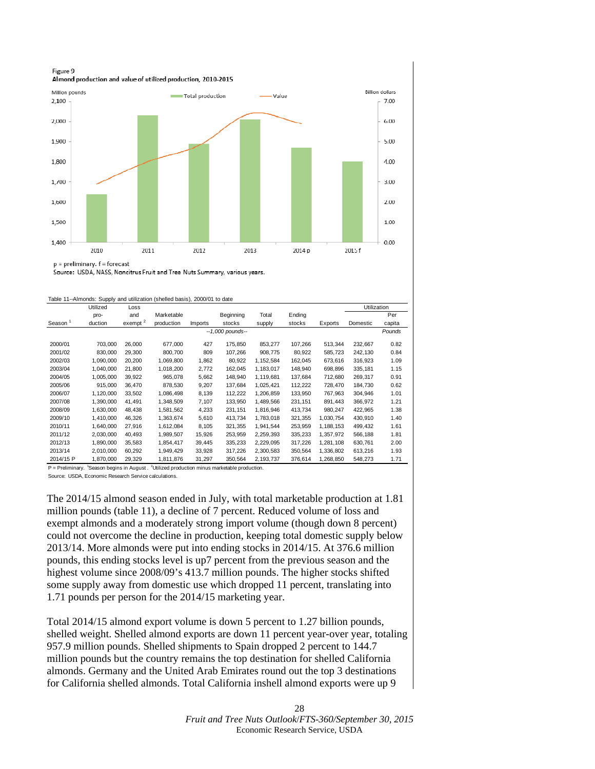<span id="page-27-0"></span>

p = preliminary. f = forecast

Source: USDA, NASS, Noncitrus Fruit and Tree Nuts Summary, various years.

| Table 11--Almonds: Supply and utilization (shelled basis), 2000/01 to date |  |  |
|----------------------------------------------------------------------------|--|--|
|                                                                            |  |  |

|                     | Utilized  | Loss       |            |                |                     |           |         |           | Utilization |        |
|---------------------|-----------|------------|------------|----------------|---------------------|-----------|---------|-----------|-------------|--------|
|                     | pro-      | and        | Marketable |                | Beginning           | Total     | Ending  |           |             | Per    |
| Season <sup>1</sup> | duction   | exempt $2$ | production | <b>Imports</b> | stocks              | supply    | stocks  | Exports   | Domestic    | capita |
|                     |           |            |            |                | $-1,000$ pounds $-$ |           |         |           |             | Pounds |
| 2000/01             | 703,000   | 26,000     | 677,000    | 427            | 175,850             | 853,277   | 107,266 | 513,344   | 232,667     | 0.82   |
| 2001/02             | 830,000   | 29,300     | 800,700    | 809            | 107,266             | 908,775   | 80,922  | 585.723   | 242,130     | 0.84   |
| 2002/03             | 1,090,000 | 20,200     | 1,069,800  | 1,862          | 80,922              | 1,152,584 | 162,045 | 673,616   | 316,923     | 1.09   |
| 2003/04             | 1,040,000 | 21.800     | 1,018,200  | 2,772          | 162.045             | 1,183,017 | 148,940 | 698.896   | 335,181     | 1.15   |
| 2004/05             | 1,005,000 | 39,922     | 965,078    | 5,662          | 148,940             | 1,119,681 | 137,684 | 712,680   | 269,317     | 0.91   |
| 2005/06             | 915,000   | 36,470     | 878.530    | 9,207          | 137,684             | 1,025,421 | 112,222 | 728,470   | 184,730     | 0.62   |
| 2006/07             | 1,120,000 | 33,502     | 1,086,498  | 8,139          | 112,222             | 1,206,859 | 133,950 | 767.963   | 304,946     | 1.01   |
| 2007/08             | 1,390,000 | 41.491     | 1,348,509  | 7,107          | 133,950             | 1,489,566 | 231,151 | 891.443   | 366,972     | 1.21   |
| 2008/09             | 1,630,000 | 48,438     | 1,581,562  | 4,233          | 231,151             | 1,816,946 | 413,734 | 980,247   | 422,965     | 1.38   |
| 2009/10             | 1,410,000 | 46,326     | 1,363,674  | 5,610          | 413,734             | 1,783,018 | 321,355 | 1,030,754 | 430,910     | 1.40   |
| 2010/11             | 1,640,000 | 27.916     | 1,612,084  | 8.105          | 321.355             | 1,941,544 | 253,959 | 1.188.153 | 499,432     | 1.61   |
| 2011/12             | 2,030,000 | 40,493     | 1,989,507  | 15,926         | 253,959             | 2,259,393 | 335,233 | 1,357,972 | 566,188     | 1.81   |
| 2012/13             | 1,890,000 | 35,583     | 1,854,417  | 39,445         | 335,233             | 2,229,095 | 317,226 | 1,281,108 | 630,761     | 2.00   |
| 2013/14             | 2,010,000 | 60,292     | 1,949,429  | 33,928         | 317,226             | 2,300,583 | 350,564 | 1,336,802 | 613,216     | 1.93   |
| 2014/15 P           | 1,870,000 | 29,329     | 1,811,876  | 31,297         | 350,564             | 2,193,737 | 376,614 | 1,268,850 | 548,273     | 1.71   |

 $P =$  Preliminary. <sup>1</sup> Season begins in August . <sup>2</sup> Utilized production minus marketable production. Source: USDA, Economic Research Service calculations.

The 2014/15 almond season ended in July, with total marketable production at 1.81 million pounds (table 11), a decline of 7 percent. Reduced volume of loss and exempt almonds and a moderately strong import volume (though down 8 percent) could not overcome the decline in production, keeping total domestic supply below 2013/14. More almonds were put into ending stocks in 2014/15. At 376.6 million pounds, this ending stocks level is up7 percent from the previous season and the highest volume since 2008/09's 413.7 million pounds. The higher stocks shifted some supply away from domestic use which dropped 11 percent, translating into 1.71 pounds per person for the 2014/15 marketing year.

Total 2014/15 almond export volume is down 5 percent to 1.27 billion pounds, shelled weight. Shelled almond exports are down 11 percent year-over year, totaling 957.9 million pounds. Shelled shipments to Spain dropped 2 percent to 144.7 million pounds but the country remains the top destination for shelled California almonds. Germany and the United Arab Emirates round out the top 3 destinations for California shelled almonds. Total California inshell almond exports were up 9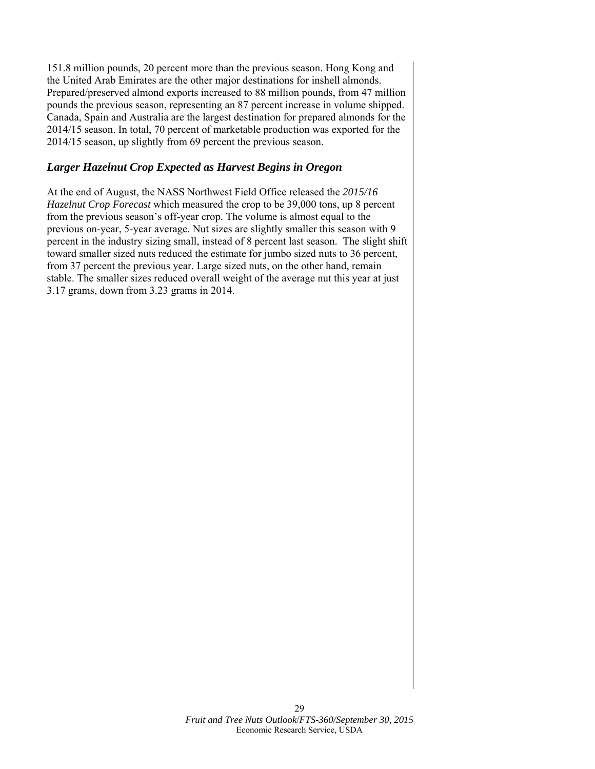151.8 million pounds, 20 percent more than the previous season. Hong Kong and the United Arab Emirates are the other major destinations for inshell almonds. Prepared/preserved almond exports increased to 88 million pounds, from 47 million pounds the previous season, representing an 87 percent increase in volume shipped. Canada, Spain and Australia are the largest destination for prepared almonds for the 2014/15 season. In total, 70 percent of marketable production was exported for the 2014/15 season, up slightly from 69 percent the previous season.

## *Larger Hazelnut Crop Expected as Harvest Begins in Oregon*

At the end of August, the NASS Northwest Field Office released the *2015/16 Hazelnut Crop Forecast* which measured the crop to be 39,000 tons, up 8 percent from the previous season's off-year crop. The volume is almost equal to the previous on-year, 5-year average. Nut sizes are slightly smaller this season with 9 percent in the industry sizing small, instead of 8 percent last season. The slight shift toward smaller sized nuts reduced the estimate for jumbo sized nuts to 36 percent, from 37 percent the previous year. Large sized nuts, on the other hand, remain stable. The smaller sizes reduced overall weight of the average nut this year at just 3.17 grams, down from 3.23 grams in 2014.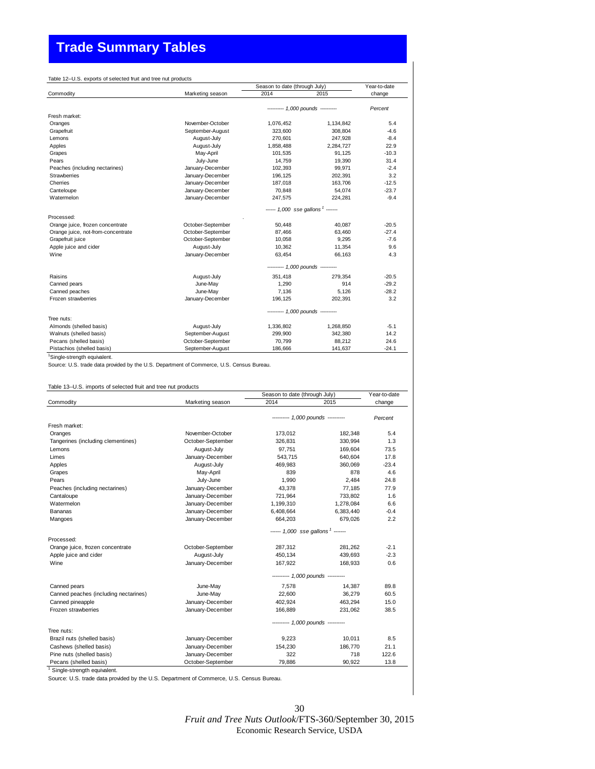# <span id="page-29-0"></span>**Trade Summary Tables**

|                                    |                                            | Season to date (through July)     | Year-to-date |         |  |  |  |
|------------------------------------|--------------------------------------------|-----------------------------------|--------------|---------|--|--|--|
| Commodity                          | Marketing season                           | 2014                              | 2015         | change  |  |  |  |
|                                    |                                            | --------- 1,000 pounds ---------- |              | Percent |  |  |  |
| Fresh market:                      |                                            |                                   |              |         |  |  |  |
| Oranges                            | November-October                           | 1,076,452                         | 1,134,842    | 5.4     |  |  |  |
| Grapefruit                         | September-August                           | 323,600                           | 308,804      | $-4.6$  |  |  |  |
| Lemons                             | August-July                                | 270,601                           | 247,928      | $-8.4$  |  |  |  |
| Apples                             | August-July                                | 1,858,488                         | 2,284,727    | 22.9    |  |  |  |
| Grapes                             | May-April                                  | 101,535                           | 91,125       | $-10.3$ |  |  |  |
| Pears                              | July-June                                  | 14,759                            | 19,390       | 31.4    |  |  |  |
| Peaches (including nectarines)     | January-December                           | 102,393                           | 99,971       | $-2.4$  |  |  |  |
| Strawberries                       | January-December                           | 196,125                           | 202,391      | 3.2     |  |  |  |
| Cherries                           | January-December                           | 187,018                           | 163.706      | $-12.5$ |  |  |  |
| Canteloupe                         | January-December                           | 70,848                            | 54,074       | $-23.7$ |  |  |  |
| Watermelon                         | January-December                           | 247,575                           | 224,281      | $-9.4$  |  |  |  |
|                                    | $--- 1,000$ sse gallons <sup>1</sup> $---$ |                                   |              |         |  |  |  |
| Processed:                         |                                            |                                   |              |         |  |  |  |
| Orange juice, frozen concentrate   | October-September                          | 50,448                            | 40,087       | $-20.5$ |  |  |  |
| Orange juice, not-from-concentrate | October-September                          | 87.466                            | 63.460       | $-27.4$ |  |  |  |
| Grapefruit juice                   | October-September                          | 10.058                            | 9.295        | $-7.6$  |  |  |  |
| Apple juice and cider              | August-July                                | 10,362                            | 11,354       | 9.6     |  |  |  |
| Wine                               | January-December                           | 63.454                            | 66.163       | 4.3     |  |  |  |
|                                    |                                            | --------- 1,000 pounds ---------- |              |         |  |  |  |
| Raisins                            | August-July                                | 351,418                           | 279.354      | $-20.5$ |  |  |  |
| Canned pears                       | June-May                                   | 1,290                             | 914          | $-29.2$ |  |  |  |
| Canned peaches                     | June-May                                   | 7.136                             | 5.126        | $-28.2$ |  |  |  |
| Frozen strawberries                | January-December                           | 196,125                           | 202.391      | 3.2     |  |  |  |
|                                    |                                            | --------- 1,000 pounds ---------- |              |         |  |  |  |
| Tree nuts:                         |                                            |                                   |              |         |  |  |  |
| Almonds (shelled basis)            | August-July                                | 1,336,802                         | 1,268,850    | $-5.1$  |  |  |  |
| Walnuts (shelled basis)            | September-August                           | 299,900                           | 342,380      | 14.2    |  |  |  |
| Pecans (shelled basis)             | October-September                          | 70.799                            | 88.212       | 24.6    |  |  |  |
| Pistachios (shelled basis)         | September-August                           | 186.666                           | 141.637      | $-24.1$ |  |  |  |

<sup>1</sup>Single-strength equivalent.

Source: U.S. trade data provided by the U.S. Department of Commerce, U.S. Census Bureau.

#### Table 13--U.S. imports of selected fruit and tree nut products

|                                       |                                            | Season to date (through July)     | Year-to-date   |         |  |  |  |
|---------------------------------------|--------------------------------------------|-----------------------------------|----------------|---------|--|--|--|
| Commodity                             | Marketing season                           | 2014                              | 2015           | change  |  |  |  |
|                                       |                                            | --------- 1,000 pounds ---------- |                |         |  |  |  |
| Fresh market:                         |                                            |                                   |                | Percent |  |  |  |
| Oranges                               | November-October                           | 173,012                           | 182,348        | 5.4     |  |  |  |
| Tangerines (including clementines)    | October-September                          | 326,831                           | 330,994        | 1.3     |  |  |  |
| Lemons                                | August-July                                | 97,751                            | 169,604        | 73.5    |  |  |  |
| Limes                                 | January-December                           | 543,715                           | 640,604        | 17.8    |  |  |  |
|                                       |                                            |                                   |                | $-23.4$ |  |  |  |
| Apples                                | August-July                                | 469,983<br>839                    | 360,069<br>878 | 4.6     |  |  |  |
| Grapes<br>Pears                       | May-April                                  |                                   |                |         |  |  |  |
|                                       | July-June                                  | 1,990                             | 2.484          | 24.8    |  |  |  |
| Peaches (including nectarines)        | January-December                           | 43,378                            | 77,185         | 77.9    |  |  |  |
| Cantaloupe                            | January-December                           | 721,964                           | 733,802        | 1.6     |  |  |  |
| Watermelon                            | January-December                           | 1,199,310                         | 1,278,084      | 6.6     |  |  |  |
| Bananas                               | January-December                           | 6,408,664                         | 6,383,440      | $-0.4$  |  |  |  |
| Mangoes                               | January-December                           | 664,203                           | 679,026        | 2.2     |  |  |  |
|                                       | $--- 1,000$ sse gallons <sup>1</sup> $---$ |                                   |                |         |  |  |  |
| Processed:                            |                                            |                                   |                |         |  |  |  |
| Orange juice, frozen concentrate      | October-September                          | 287,312                           | 281,262        | $-2.1$  |  |  |  |
| Apple juice and cider                 | August-July                                | 450,134                           | 439,693        | $-2.3$  |  |  |  |
| Wine                                  | January-December                           | 167,922                           | 168,933        | 0.6     |  |  |  |
|                                       |                                            | --------- 1,000 pounds ---------- |                |         |  |  |  |
| Canned pears                          | June-May                                   | 7,578                             | 14,387         | 89.8    |  |  |  |
| Canned peaches (including nectarines) | June-May                                   | 22,600                            | 36,279         | 60.5    |  |  |  |
| Canned pineapple                      | January-December                           | 402,924                           | 463,294        | 15.0    |  |  |  |
| Frozen strawberries                   | January-December                           | 166,889                           | 231,062        | 38.5    |  |  |  |
|                                       |                                            | --------- 1,000 pounds ---------- |                |         |  |  |  |
| Tree nuts:                            |                                            |                                   |                |         |  |  |  |
| Brazil nuts (shelled basis)           | January-December                           | 9,223                             | 10,011         | 8.5     |  |  |  |
| Cashews (shelled basis)               | January-December                           | 154,230                           | 186.770        | 21.1    |  |  |  |
| Pine nuts (shelled basis)             | January-December                           | 322                               | 718            | 122.6   |  |  |  |
| Pecans (shelled basis)                | October-September                          | 79,886                            | 90,922         | 13.8    |  |  |  |
| Single-etrength equivalent            |                                            |                                   |                |         |  |  |  |

ingle-strength e

Source: U.S. trade data provided by the U.S. Department of Commerce, U.S. Census Bureau.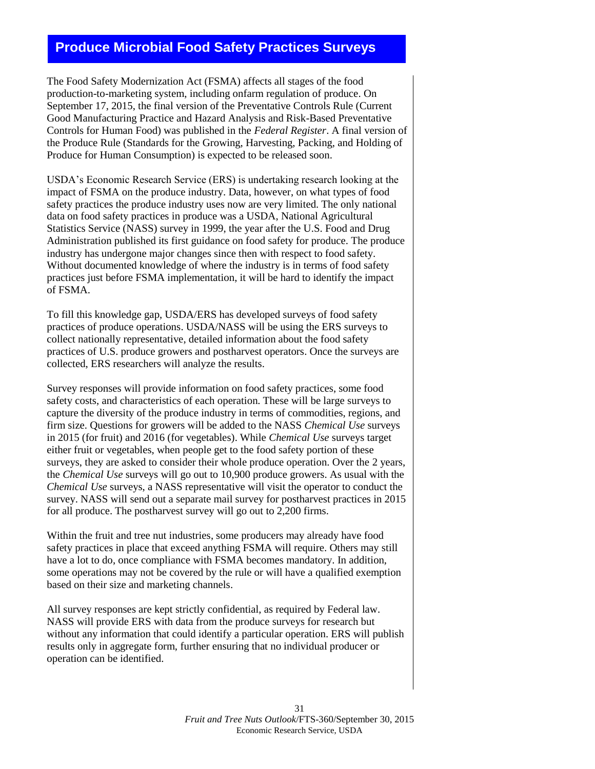# <span id="page-30-0"></span>**Produce Microbial Food Safety Practices Surveys**

The Food Safety Modernization Act (FSMA) affects all stages of the food production-to-marketing system, including onfarm regulation of produce. On September 17, 2015, the final version of the Preventative Controls Rule (Current Good Manufacturing Practice and Hazard Analysis and Risk-Based Preventative Controls for Human Food) was published in the *Federal Register*. A final version of the Produce Rule (Standards for the Growing, Harvesting, Packing, and Holding of Produce for Human Consumption) is expected to be released soon.

USDA's Economic Research Service (ERS) is undertaking research looking at the impact of FSMA on the produce industry. Data, however, on what types of food safety practices the produce industry uses now are very limited. The only national data on food safety practices in produce was a USDA, National Agricultural Statistics Service (NASS) survey in 1999, the year after the U.S. Food and Drug Administration published its first guidance on food safety for produce. The produce industry has undergone major changes since then with respect to food safety. Without documented knowledge of where the industry is in terms of food safety practices just before FSMA implementation, it will be hard to identify the impact of FSMA.

To fill this knowledge gap, USDA/ERS has developed surveys of food safety practices of produce operations. USDA/NASS will be using the ERS surveys to collect nationally representative, detailed information about the food safety practices of U.S. produce growers and postharvest operators. Once the surveys are collected, ERS researchers will analyze the results.

Survey responses will provide information on food safety practices, some food safety costs, and characteristics of each operation. These will be large surveys to capture the diversity of the produce industry in terms of commodities, regions, and firm size. Questions for growers will be added to the NASS *Chemical Use* surveys in 2015 (for fruit) and 2016 (for vegetables). While *Chemical Use* surveys target either fruit or vegetables, when people get to the food safety portion of these surveys, they are asked to consider their whole produce operation. Over the 2 years, the *Chemical Use* surveys will go out to 10,900 produce growers. As usual with the *Chemical Use* surveys, a NASS representative will visit the operator to conduct the survey. NASS will send out a separate mail survey for postharvest practices in 2015 for all produce. The postharvest survey will go out to 2,200 firms.

Within the fruit and tree nut industries, some producers may already have food safety practices in place that exceed anything FSMA will require. Others may still have a lot to do, once compliance with FSMA becomes mandatory. In addition, some operations may not be covered by the rule or will have a qualified exemption based on their size and marketing channels.

All survey responses are kept strictly confidential, as required by Federal law. NASS will provide ERS with data from the produce surveys for research but without any information that could identify a particular operation. ERS will publish results only in aggregate form, further ensuring that no individual producer or operation can be identified.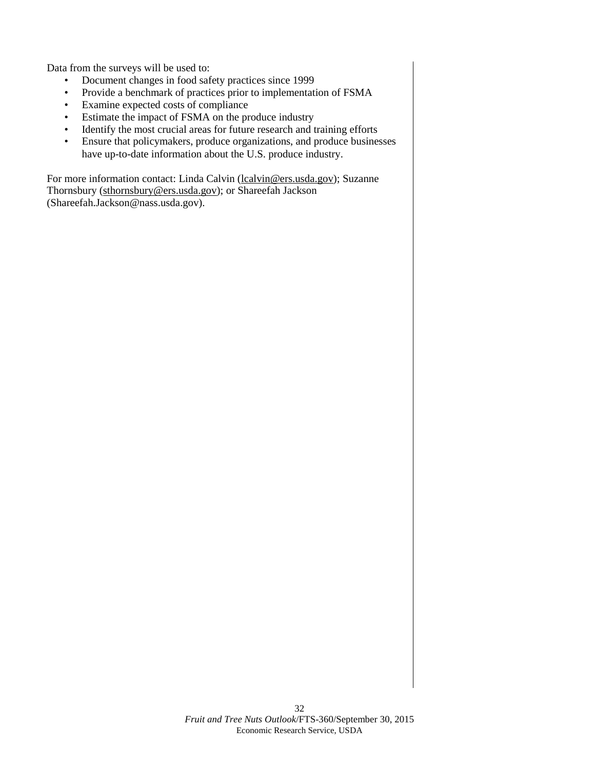Data from the surveys will be used to:

- Document changes in food safety practices since 1999
- Provide a benchmark of practices prior to implementation of FSMA
- Examine expected costs of compliance
- Estimate the impact of FSMA on the produce industry
- Identify the most crucial areas for future research and training efforts
- Ensure that policymakers, produce organizations, and produce businesses have up-to-date information about the U.S. produce industry.

For more information contact: Linda Calvin [\(lcalvin@ers.usda.gov\)](mailto:lcalvin@ers.usda.gov); Suzanne Thornsbury [\(sthornsbury@ers.usda.gov\)](mailto:sthornsbury@ers.usda.gov); or Shareefah Jackson (Shareefah.Jackson@nass.usda.gov).